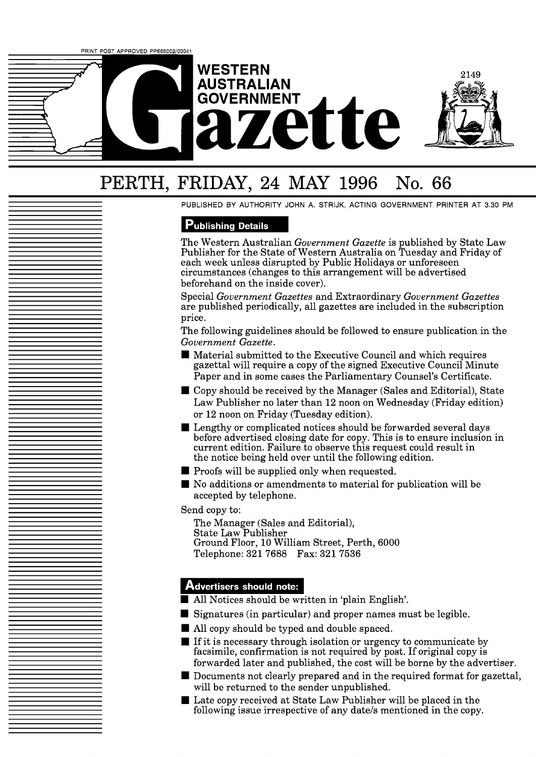

# PERTH, FRIDAY, 24 MAY 1996 No. 66

PUBLISHED BY AUTHORITY JOHN A. STRIJK, ACTING GOVERNMENT PRINTER AT 3.30 PM

# **Publishing Details**

The Western Australian *Government Gazette* is published by State Law Publisher for the State of Western Australia on Tuesday and Friday of each week unless disrupted by Public Holidays or unforeseen circumstances (changes to this arrangement will be advertised beforehand on the inside cover).

Special *Government Gazettes* and Extraordinary *Government Gazettes*  are published periodically, all gazettes are included in the subscription price.

The following guidelines should be followed to ensure publication in the *Government Gazette.* 

- Material submitted to the Executive Council and which requires gazettal will require a copy of the signed Executive Council Minute Paper and in some cases the Parliamentary Counsel's Certificate.
- Copy should be received by the Manager (Sales and Editorial), State Law Publisher no later than 12 noon on Wednesday (Friday edition) or 12 noon on Friday (Tuesday edition).
- **Lengthy or complicated notices should be forwarded several days** before advertised closing date for copy. This is to ensure inclusion in current edition. Failure to observe this request could result in the notice being held over until the following edition.
- $\blacksquare$  Proofs will be supplied only when requested.
- No additions or amendments to material for publication will be accepted by telephone.

Send copy to:

The Manager (Sales and Editorial), State Law Publisher Ground Floor, 10 William Street, Perth, 6000 Telephone: 321 7688 Fax: 321 7536

# **Advertisers should note:**

- All Notices should be written in 'plain English'.
- Signatures (in particular) and proper names must be legible.
- All copy should be typed and double spaced.
- If it is necessary through isolation or urgency to communicate by facsimile, confirmation is not required by post. If original copy is forwarded later and published, the cost will be borne by the advertiser.
- Documents not clearly prepared and in the required format for gazettal, will be returned to the sender unpublished.
- Late copy received at State Law Publisher will be placed in the following issue irrespective of any date/s mentioned in the copy.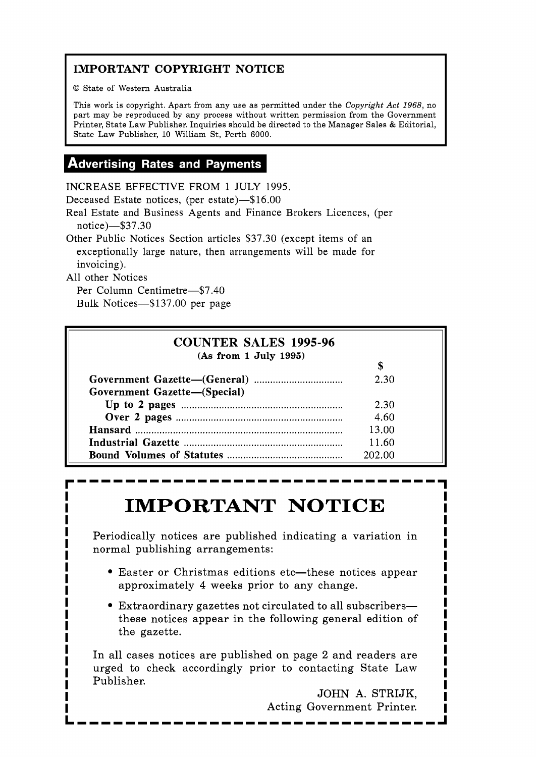# **IMPORTANT COPYRIGHT NOTICE**

© State of Western Australia

This work is copyright. Apart from any use as permitted under the **Copyright** *Act* 1968, no part may be reproduced by any process without written permission from the Government Printer, State Law Publisher. Inquiries should be directed to the Manager Sales & Editorial, State Law Publisher, 10 William St, Perth 6000.

# **Advertising Rates and Payments**

INCREASE EFFECTIVE FROM 1 JULY 1995.

Deceased Estate notices, (per estate)-\$16.00

Real Estate and Business Agents and Finance Brokers Licences, (per notice)-\$37.30

Other Public Notices Section articles \$37.30 (except items of an exceptionally large nature, then arrangements will be made for invoicing).

All other Notices

Per Column Centimetre-\$7.40 Bulk Notices-\$137.00 per page

| <b>COUNTER SALES 1995-96</b><br>(As from 1 July 1995) |        |  |
|-------------------------------------------------------|--------|--|
|                                                       |        |  |
|                                                       | 2.30   |  |
| Government Gazette-(Special)                          |        |  |
|                                                       | 2.30   |  |
|                                                       | 4.60   |  |
|                                                       | 13.00  |  |
|                                                       | 11.60  |  |
|                                                       | 202.00 |  |

# **IMPORTANT NOTICE** <u>I</u> I'll be interested in the set of  $\frac{1}{2}$

Periodically notices are published indicating a variation in normal publishing arrangements:

- **Easter or Christmas editions etc—these notices appear e** Easter or Christmas editions etc—these notices appear<br> **I** approximately 4 weeks prior to any change.<br> **I**
- **I** Extraordinary gazettes not circulated to all subscribers- **I I Extraordinary gazettes not circulated to all subscribers—<br>
<b>I** bese notices appear in the following general edition of **I** these notices appear in the following general edition of **I**<br> **I** the gazette. **I** the gazette.

In all cases notices are published on page 2 and readers are **I**  In all cases notices are published on page 2 and readers are<br>In the check accordingly prior to contacting State Law and **I I** urged to check accordingly prior to contacting State Law **I 1** Publisher.

**I** JOHN A. STRIJK, Acting Government Printer. **LIIIIIIIIIIIIIIIIIIIIIIIIIIIIIIJ** 

**I**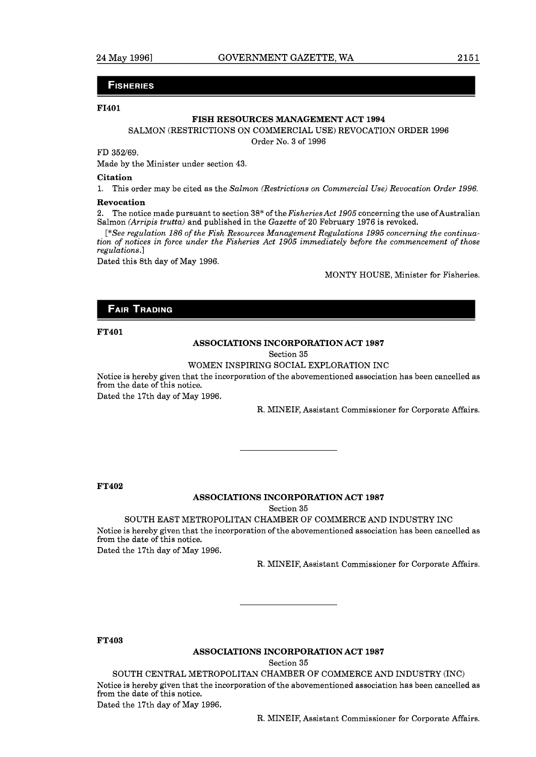#### **FISHERIES**

#### **F1401**

#### **FISH RESOURCES MANAGEMENT ACT 1994**

#### SALMON (RESTRICTIONS ON COMMERCIAL USE) REVOCATION ORDER 1996

Order No. 3 of 1996

FD 352/69.

Made by the Minister under section 43.

#### **Citation**

**1.** This order may be cited as the *Salmon (Restrictions on Commercial Use) Revocation Order 1996.* 

#### **Revocation**

2. The notice made pursuant to section 38\* of the *FisheriesAct 1905* concerning the use ofAustralian Salmon *(Arripis trutta)* and published in the *Gazette* of 20 February 1976 is revoked.

*[\*See regulation 186 of the Fish Resources Management Regulations 1995 concerning the continuation of notices in force under the Fisheries Act 1905 immediately before the commencement of those regulations.]* 

Dated this 8th day of May 1996.

MONTY HOUSE, Minister for Fisheries.

#### **FAIR TRADING**

#### **FT401**

#### **ASSOCIATIONS INCORPORATION ACT 1987**

Section 35

#### WOMEN INSPIRING SOCIAL EXPLORATION INC

Notice is hereby given that the incorporation of the abovementioned association has been cancelled as from the date of this notice.

Dated the 17th day of May 1996.

R. MINEIF, Assistant Commissioner for Corporate Affairs.

#### **FT402**

#### **ASSOCIATIONS INCORPORATION ACT 1987**

Section 35

SOUTH EAST METROPOLITAN CHAMBER OF COMMERCE AND INDUSTRY INC

Notice is hereby given that the incorporation of the abovementioned association has been cancelled as from the date of this notice.

Dated the 17th day of May 1996.

R. MINEIF, Assistant Commissioner for Corporate Affairs.

#### **FT403**

#### **ASSOCIATIONS INCORPORATION ACT 1987**

Section 35

SOUTH CENTRAL METROPOLITAN CHAMBER OF COMMERCE AND INDUSTRY (INC) Notice is hereby given that the incorporation of the abovementioned association has been cancelled as from the date of this notice. Dated the 17th day of May 1996.

R. MINEIF, Assistant Commissioner for Corporate Affairs.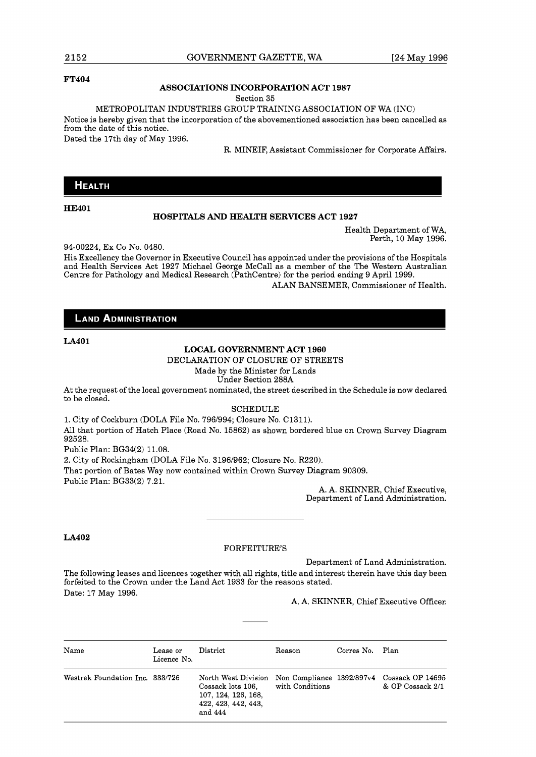#### **FT404**

#### **ASSOCIATIONS INCORPORATION ACT 1987**

Section 35

METROPOLITAN INDUSTRIES GROUP TRAINING ASSOCIATION OF WA (INC)

Notice is hereby given that the incorporation of the abovementioned association has been cancelled as from the date of this notice.

Dated the 17th day of May 1996.

R. MINEIF, Assistant Commissioner for Corporate Affairs.

#### **HEALTH**

#### **HE401**

#### **HOSPITALS AND HEALTH SERVICES ACT 1927**

Health Department of WA, Perth, 10 May 1996.

94-00224, Ex CO NO. 0480.

His Excellency the Governor in Executive Council has appointed under the provisions of the Hospitals and Health Services Act 1927 Michael George McCall as a member of the The Western Australian Centre for Pathology and Medical Research (Pathcentre) for the period ending 9 April 1999. ALAN BANSEMER, Commissioner of Health.

#### **LAND ADMINISTRATION**

#### LA401

#### **LOCAL GOVERNMENT ACT 1960**

DECLARATION OF CLOSURE OF STREETS

Made by the Minister for Lands Under Section 288A

At the request of the local government nominated, the street described in the Schedule is now declared to be closed.

#### SCHEDULE

1. City of Cockburn (DOLA File No. 796/994; Closure No. C1311). All that portion of Hatch Place (Road No. 15862) as shown bordered blue on Crown Survey Diagram 92528.

Public Plan: BG34(2) 11.08.

2. City of Rockingham (DOLA File No. 3196/962; Closure No. R220).

That portion of Bates Way now contained within Crown Survey Diagram 90309. Public Plan: BG33(2) 7.21.

A. A. SKINNER, Chief Executive, Department of Land Administration.

#### **LA402**

#### FORFEITURE'S

Department of Land Administration.

The following leases and licences together with all rights, title and interest therein have this day been forfeited to the Crown under the Land Act 1933 for the reasons stated. Date: 17 May 1996.

A. A. SKINNER, Chief Executive Officer.

| Name                            | Lease or<br>Licence No. | District                                                                                                                                     | Reason          | Corres No. Plan |                  |
|---------------------------------|-------------------------|----------------------------------------------------------------------------------------------------------------------------------------------|-----------------|-----------------|------------------|
| Westrek Foundation Inc. 333/726 |                         | North West Division Non Compliance 1392/897v4 Cossack OP 14695<br>Cossack lots 106.<br>107, 124, 126, 168,<br>422, 423, 442, 443,<br>and 444 | with Conditions |                 | & OP Cossack 2/1 |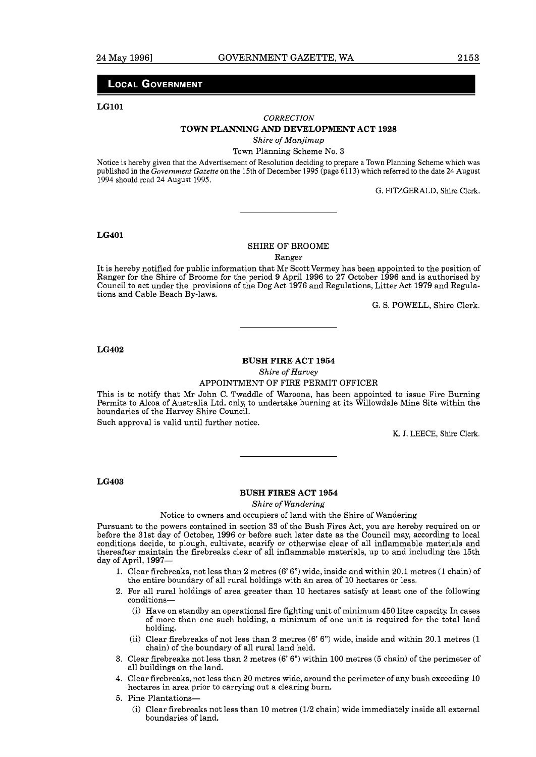#### **LOCAL GOVERNMENT**

#### **LGlOl**

#### *CORRECTION*

#### **TOWN PLANNlNG AND DEVELOPMENT ACT 1928**

*Shire of Manjimup* 

#### Town Planning Scheme No. 3

Notice is hereby given that the Advertisement of Resolution deciding to prepare a Town Planning Scheme which was published in the *Government Gazette* on the 15th of December 1995 (page 6113) which referred to the date 24 August 1994 should read 24 August 1995.

G. FITZGERALD, Shire Clerk.

#### **LG401**

#### SHIRE OF BROOME

Ranger

It is hereby notified for public information that Mr Scott Vermey has been appointed to the position of Ranger for the Shire of Broome for the period 9 April 1996 to 27 October 1996 and is authorised by Council to act under the provisions of the Dog Act 1976 and Regulations, Litter Act 1979 and Regulations and Cable Beach By-laws.

G. S. POWELL, Shire Clerk.

#### **LG402**

#### **BUSH FIRE ACT 1954**

*Shire of Harvey* 

APPOINTMENT OF FIRE PERMIT OFFICER

This is to notify that Mr John C. Twaddle of Waroona, has been appointed to issue Fire Burning Permits to Alcoa of Australia Ltd. only, to undertake burning at its Willowdale Mine Site within the boundaries of the Harvey Shire Council.

Such approval is valid until further notice.

K. J. LEECE, Shire Clerk.

#### **LG403**

#### **BUSH FIRES ACT 1954**

*Shire of Wandering* 

Notice to owners and occupiers of land with the Shire of Wandering

Pursuant to the powers contained in section 33 of the Bush Fires Act, you are hereby required on or before the 31st day of October, 1996 or before such later date as the Council may, according to local conditions decide, to plough, cultivate, scarify or otherwise clear of all inflammable materials and thereafter maintain the firebreaks clear of all inflammable materials, up to and including the 15th day of April, 1997-

- Clear firebreaks, not less than 2 metres (6' 6") wide, inside and within 20.1 metres (1 chain) of the entire boundary of all rural holdings with an area of 10 hectares or less.
- For all rural holdings of area greater than 10 hectares satisfy at least one of the following conditions-
	- (i) Have on standby an operational fire fighting unit of minimum 450 litre capacity. In cases of more than one such holding, a minimum of one unit is required for the total land holding.
	- (ii) Clear firebreaks of not less than 2 metres  $(6' 6'')$  wide, inside and within 20.1 metres  $(1)$ chain) of the boundary of all rural land held.
- 3. Clear firebreaks not less than 2 metres  $(6' 6'')$  within 100 metres (5 chain) of the perimeter of all buildings on the land.
- Clear firebreaks, not less than 20 metres wide, around the perimeter of any bush exceeding 10 hectares in area prior to carrying out a clearing burn.
- 5. Pine Plantations-
	- (i) Clear firebreaks not less than 10 metres (112 chain) wide immediately inside all external boundaries of land.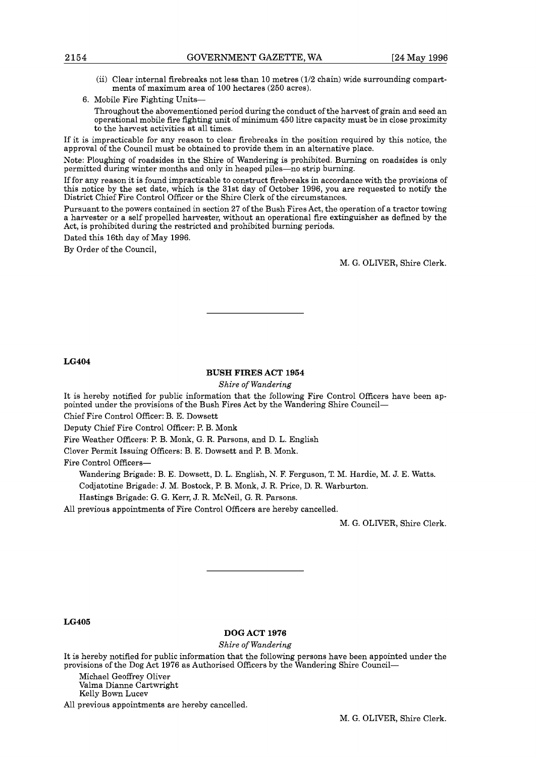- (ii) Clear internal firebreaks not less than 10 metres (112 chain) wide surrounding compartments of maximum area of 100 hectares (250 acres).
- 6. Mobile Fire Fighting Units-

Throughout the abovementioned period during the conduct of the harvest of grain and seed an operational mobile fire fighting unit of minimum 450 litre capacity must be in close proximity to the harvest activities at all times.

If it is impracticable for any reason to clear firebreaks in the position required by this notice, the approval of the Council must be obtained to provide them in an alternative place.

Note: Ploughing of roadsides in the Shire of Wandering is prohibited. Burning on roadsides is only permitted during winter months and only in heaped piles-no strip burning.

If for any reason it is found impracticable to construct firebreaks in accordance with the provisions of this notice by the set date, which is the 31st day of October 1996, you are requested to notify the District Chief Fire Control Officer or the Shire Clerk of the circumstances.

Pursuant to the powers contained in section 27 of the Bush Fires Act, the operation of a tractor towing a harvester or a self propelled harvester, without an operational fire extinguisher as defined by the Act, is prohibited during the restricted and prohibited burning periods.

Dated this 16th day of May 1996.

By Order of the Council,

M. G. OLIVER, Shire Clerk.

**LG404** 

#### **BUSH FIRES ACT 1954**

*Shire* of *Wandering* 

It is hereby notified for public information that the following Fire Control Officers have been appointed under the provisions of the Bush Fires Act by the Wandering Shire Council-

Chief Fire Control Officer: B. E. Dowsett

Deputy Chief Fire Control Officer: P. B. Monk

Fire Weather Officers: P. B. Monk, G. R. Parsons, and D. L. English

Clover Permit Issuing Officers: B. E. Dowsett and P. B. Monk.

Fire Control Officers-

Wandering Brigade: B. E. Dowsett, D. L. English, N. F. Ferguson, T. M. Hardie, M. J. E. Watts.

Codjatotine Brigade: J. M. Bostock, P. B. Monk, J. R. Price, D. R. Warburton.

Hastings Brigade: G. G. Kerr, J. R. McNeil, G. R. Parsons.

All previous appointments of Fire Control Officers are hereby cancelled.

M. G. OLIVER, Shire Clerk.

**LG405** 

#### **DOG ACT 1976**

*Shire* of *Wandering* 

It is hereby notified for public information that the following persons have been appointed under the provisions of the Dog Act 1976 as Authorised Officers by the Wandering Shire Council-

Michael Geoffrey Oliver Valma Dianne Cartwright

Kelly Bown Lucev

All previous appointments are hereby cancelled.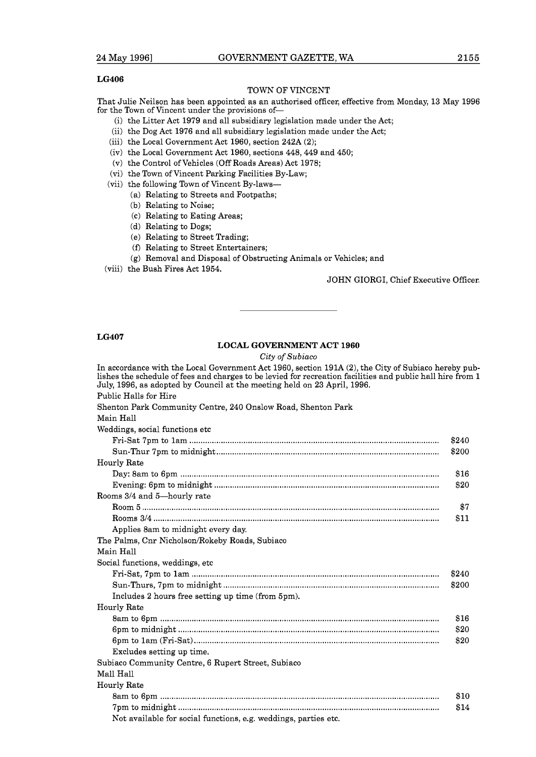#### **LG406**

#### TOWN OF VINCENT

That Julie Neilson has been appointed as an authorised officer, effective from Monday, 13 May 1996 for the Town of Vincent under the provisions of-

- (i) the Litter Act 1979 and all subsidiary legislation made under the Act;
- (ii) the Dog Act 1976 and all subsidiary legislation made under the Act;
- (iii) the Local Government Act 1960, section 242A (2);
- (iv) the Local Government Act 1960, sections 448,449 and 450;
- (V) the Control of Vehicles (Off Roads Areas) Act 1978;
- (vi) the Town of Vincent Parking Facilities By-Law;
- (vii) the following Town of Vincent By-laws-
	- (a) Relating to Streets and Footpaths;
	- (b) Relating to Noise;
	- (C) Relating to Eating Areas;
	- (d) Relating to Dogs;
	- (e) Relating to Street Trading;
	- **(f)** Relating to Street Entertainers;
	- (g) Removal and Disposal of Obstructing Animals or Vehicles; and
- (viii) the Bush Fires Act 1954.

#### JOHN GIORGI, Chief Executive Officer.

#### **LG407**

#### **LOCAL GOVERNMENT ACT 1960**

**City** of **Subiaco** 

In accordance with the Local Government Act 1960, section 191A (2), the City of Subiaco hereby publishes the schedule of fees and charges to be levied for recreation facilities and public hall hire from 1 July, 1996, as adopted by Council at the meeting held on 23 April, 1996. Public Halls for Hire Shenton Park Community Centre, 240 Onslow Road, Shenton Park Main Hall Weddings, social functions etc Fri-Sat 7pm to lam ............................................................................................................... \$240 Sun-Thur 7pm to midnight ..................... ....................................................................... \$200 Hourly Rate  $\begin{array}{ll}\n\text{Fri-Sat 7pm to 1am}\n\text{Sup}. \text{Thu: }7pm\text{to 1mm to midnight}\n\text{Sup}. \text{Thu: }7pm\text{to midnight}\n\end{array}\n\quad \begin{array}{ll}\n\text{\$240}\n\text{Sup}. \text{Thu: }7pm\text{to midnight}\n\end{array}\n\quad \begin{array}{ll}\n\text{\$200}\n\text{Sup: }8tan\text{ to 6pm}\n\end{array}\n\quad \begin{array}{ll}\n\text{\$210}\n\text{Sup: }8000\n\end{array}\n\quad \begin{array}{ll}\n\text$ Evening: 6pm to midnight .................................................................................................... \$20 Rooms 3/4 and 5-hourly rate Room 5 ........................ .................................................................................................... Rooms 314 ............................................................................................................................... Applies 8am to midnight every day The Palms, Cnr Nicholson/Rokeby Roads, Subiaco Main Hall Social functions, weddings, etc Fri-Sat, 7pm to lam ..................... ................................................................................... Sun-Thurs, 7pm to midnight ................................................................................................ Includes 2 hours free setting up time (from 5pm). Hourly Rate 8am to 6pm .......................... ...................................................................................... 6pm to midnight ......................... ................................................................................... 6pm to lam (Fri-Sat) ............................................................................................................. Excludes setting up time. Subiaco Community Centre, 6 Rupert Street, Subiaco Mall Hall Hourly Rate 8am to 6pm .......................... ...................................................................................... 7pm to midnight .................................................................................................................... Not available for social functions, e.g. weddings, parties etc.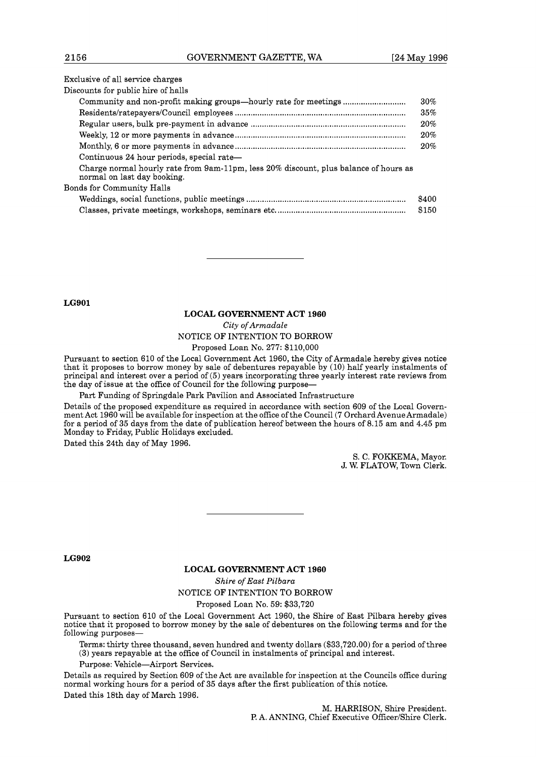#### Exclusive of all service charges

| Discounts for public hire of halls                                                                                  |       |
|---------------------------------------------------------------------------------------------------------------------|-------|
|                                                                                                                     | 30%   |
|                                                                                                                     | 35%   |
|                                                                                                                     | 20%   |
|                                                                                                                     | 20%   |
|                                                                                                                     | 20%   |
| Continuous 24 hour periods, special rate—                                                                           |       |
| Charge normal hourly rate from 9am-11pm, less 20% discount, plus balance of hours as<br>normal on last day booking. |       |
| Bonds for Community Halls                                                                                           |       |
|                                                                                                                     | \$400 |
|                                                                                                                     | \$150 |

**LG901** 

#### **LOCAL GOVERNMENT ACT 1960**

*City* of *Armadale*  NOTICE OF INTENTION TO BORROW

Proposed Loan No. 277: \$110,000

Pursuant to section 610 of the Local Government Act 1960, the City of Armadale hereby gives notice that it proposes to borrow money by sale of debentures repayable by (10) half yearly instalments of principal and interest over a period of (5) years incorporating three yearly interest rate reviews from the day of issue at the office of Council for the following purpose-

Part Funding of Springdale Park Pavilion and Associated Infrastructure

Details of the proposed expenditure as required in accordance with section 609 of the Local Government Act 1960 will be available for inspection at the office of the Council (7 OrchardAvenueArmadale) for a period of 35 days from the date of publication hereof between the hours of 8.15 am and 4.45 pm Monday to Friday, Public Holidays excluded.

Dated this 24th day of May 1996.

S. C. FOKKEMA, Mayor. J. W. FLATOW, Town Clerk.

**LG902** 

#### **LOCAL GOVERNMENT ACT 1960**

*Shire* of *East Pilbara* 

NOTICE OF INTENTION TO BORROW

Proposed Loan No. 59: \$33,720

Pursuant to section 610 of the Local Government Act 1960, the Shire of East Pilbara hereby gives notice that it proposed to borrow money by the sale of debentures on the following terms and for the following purposes-

Terms: thirty three thousand, seven hundred and twenty dollars (\$33,720.00) for a period of three (3) years repayable at the office of Council in instalments of principal and interest.

Purpose: Vehicle-Airport Services.

Details as required by Section 609 of the Act are available for inspection at the Councils office during normal working hours for a period of 35 days after the first publication of this notice. Dated this 18th day of March 1996.

M. HARRISON, Shire President. P. A. ANNING, Chief Executive Officer/Shire Clerk.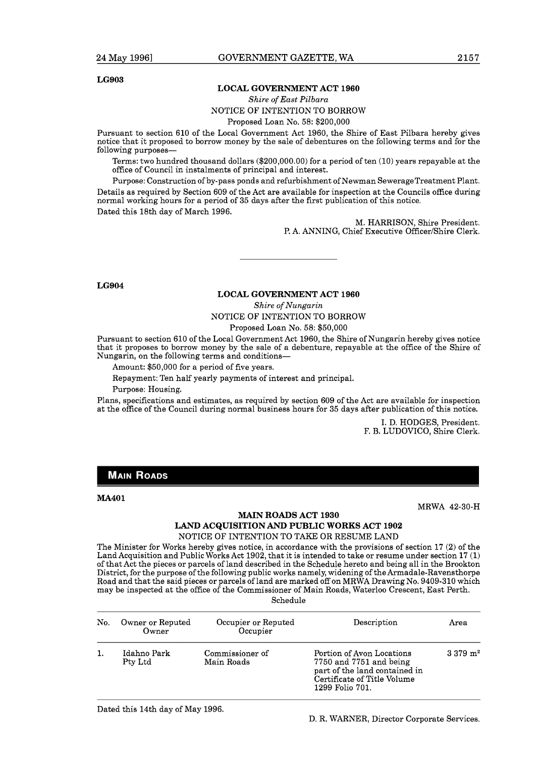#### **LG903**

#### **LOCAL GOVERNMENT ACT 1960**

#### *Shire of East Pilbara*

NOTICE OF INTENTION TO BORROW

Proposed Loan No. 58: \$200,000

Pursuant to section 610 of the Local Government Act 1960, the Shire of East Pilbara hereby gives notice that it proposed to borrow money by the sale of debentures on the following terms and for the following purposes-

Terms: two hundred thousand dollars (\$200,000.00) for a period of ten (10) years repayable at the office of Council in instalments of principal and interest.

Purpose: Construction of by-pass ponds and refurbishment of Newman SewerageTreatment Plant. Details as required by Section 609 of the Act are available for inspection at the Councils office during normal working hours for a period of 35 days after the first publication of this notice. Dated this 18th day of March 1996.

> M. HARRISON, Shire President. P. A. ANNING, Chief Executive Officer/Shire Clerk.

**LG904** 

#### **LOCAL GOVERNMENT ACT 1960**

*Shire of Nungarin* 

NOTICE OF INTENTION TO BORROW Proposed Loan No. 58: \$50,000

Pursuant to section 610 of the Local Government Act 1960, the Shire of Nungarin hereby gives notice that it proposes to borrow money by the sale of a debenture, repayable at the office of the Shire of Nungarin, on the following terms and conditions-

Amount: \$50,000 for a period of five years.

Repayment: Ten half yearly payments of interest and principal.

Purpose: Housing.

Plans, specifications and estimates, as required by section 609 of the Act are available for inspection at the office of the Council during normal business hours for 35 days after publication of this notice.

> I. D. HODGES, President. F. B. LUDOVICO, Shire Clerk.

## **MAIN ROADS**

**MA40 1** 

#### **MAIN ROADS ACT 1930**

MRWA 42-30-H

# **LAND ACQUISITION AND PUBLIC WORKS ACT 1902**

NOTICE OF INTENTION TO TAKE OR RESUME LAND

The Minister for Works hereby gives notice, in accordance with the provisions of section 17 (2) of the Land Acquisition and Public Works Act 1902, that it is intended to take or resume under section 17 (1) of that Act the pieces or parcels of land described in the Schedule hereto and being all in the Brookton District, for the purpose of the following public works namely, widening of the Armadale-Ravensthorpe Road and that the said pieces or parcels of land are marked off on MRWA Drawing No. 9409-310 which may be inspected at the office of the Commissioner of Main Roads, Waterloo Crescent, East Perth. Schedule

| No. | Owner or Reputed<br>Owner | Occupier or Reputed<br>Occupier | Description                                                                                                                             | Area                    |
|-----|---------------------------|---------------------------------|-----------------------------------------------------------------------------------------------------------------------------------------|-------------------------|
|     | Idahno Park<br>Pty Ltd    | Commissioner of<br>Main Roads   | Portion of Avon Locations<br>7750 and 7751 and being<br>part of the land contained in<br>Certificate of Title Volume<br>1299 Folio 701. | $3.379 \; \mathrm{m}^2$ |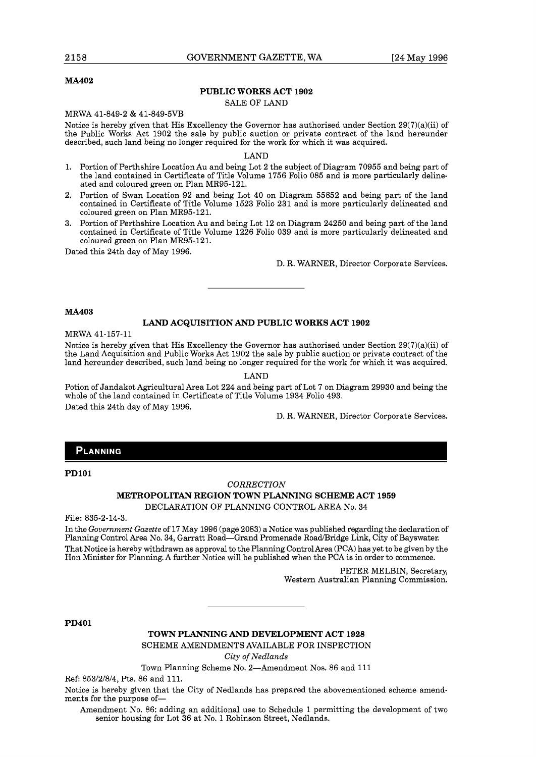#### **MA402**

#### **PUBLIC WORKS ACT 1902**

#### SALE OF LAND

MRWA 41-849-2 & 41-849-5VB

Notice is hereby given that His Excellency the Governor has authorised under Section  $29(7)(a)(ii)$  of the Public Works Act 1902 the sale by public auction or private contract of the land hereunder described, such land being no longer required for the work for which it was acquired.

LAND

- 1. Portion of Perthshire Location Au and being Lot 2 the subject of Diagram 70955 and being part of the land contained in Certificate of Title Volume 1756 Folio 085 and is more particularly delineated and coloured green on Plan MR95-121.
- 2. Portion of Swan Location 92 and being Lot 40 on Diagram 55852 and being part of the land contained in Certificate of Title Volume 1523 Folio 231 and is more particularly delineated and coloured green on Plan MR95-121.
- 3. Portion of Perthshire Location Au and being Lot 12 on Diagram 24250 and being part of the land contained in Certificate of Title Volume 1226 Folio 039 and is more particularly delineated and coloured green on Plan MR95-121.

Dated this 24th day of May 1996.

D. R. WARNER, Director Corporate Services.

#### **MA403**

#### **LAND ACQUISITION AND PUBLIC WORKS ACT 1902**

MRWA 41-157-11

Notice is hereby given that His Excellency the Governor has authorised under Section  $29(7)(a)(ii)$  of the Land Acquisition and Public Works Act 1902 the sale by public auction or private contract of the land hereunder described, such land being no longer required for the work for which it was acquired.

LAND

Potion of Jandakot Agricultural Area Lot 224 and being part of Lot 7 on Diagram 29930 and being the whole of the land contained in Certificate of Title Volume 1934 Folio 493. Dated this 24th day of May 1996.

D. R. WARNER, Director Corporate Services.

#### PLANNING

**PDlOl** 

#### *CORRECTION*

# **METROPOLITAN REGION TOWN PLANNING SCHEME ACT 1959**

DECLARATION OF PLANNING CONTROL AREA No. 34

File: 835-2-14-3.

In the *Government Gazette* of 17 May 1996 (page 2083) a Notice was published regarding the declaration of Planning Control Area No. 34, Garratt Road-Grand Promenade Road/Bridge Link, City of Bayswater. That Notice is hereby withdrawn as approval to the Planning ControlArea (PCA) has yet to be given by the Hon Minister for Planning. A further Notice will be published when the PCA is in order to commence.

> PETER MELBIN, Secretary, Western Australian Planning Commission.

**PD401** 

**TOWN PLANNING AND DEVELOPMENT ACT 1928** 

SCHEME AMENDMENTS AVAILABLE FOR INSPECTION *City of Nedlands* 

Town Planning Scheme No. 2-Amendment Nos. 86 and 111

Ref: 853/2/8/4, Pts. 86 and 111.

Notice is hereby given that the City of Nedlands has prepared the abovementioned scheme amendments for the purpose of-

Amendment No. 86: adding an additional use to Schedule 1 permitting the development of two senior housing for Lot 36 at No. 1 Robinson Street, Nedlands.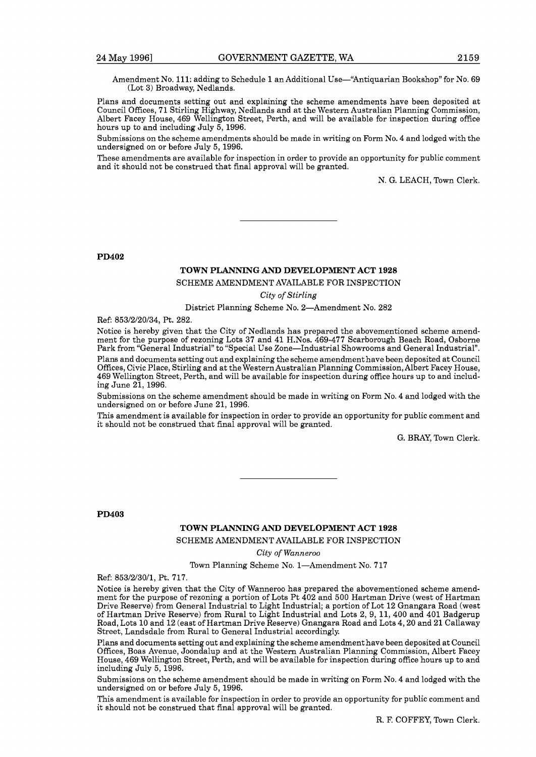Amendment No. 111: adding to Schedule 1 an Additional Use-"Antiquarian Bookshop" for No. 69 (Lot 3) Broadway, Nedlands.

Plans and documents setting out and explaining the scheme amendments have been deposited at Council Offices, 71 Stirling Highway, Nedlands and at the Western Australian Planning Commission, Albert Facey House, 469 Wellington Street, Perth, and will be available for inspection during office hours up to and including July 5, 1996.

Submissions on the scheme amendments should be made in writing on Form No. 4 and lodged with the undersigned on or before July 5, 1996.

These amendments are available for inspection in order to provide an opportunity for public comment and it should not be construed that final approval will be granted.

N. G. LEACH, Town Clerk.

**PD402** 

#### **TOWN PLANNING AND DEVELOPMENT ACT 1928**

#### SCHEME AMENDMENT AVAILABLE FOR INSPECTION

*City of Stirling* 

District Planning Scheme No. 2-Amendment No. 282

Ref: 853/2/20/34, Pt. 282.

Notice is hereby given that the City of Nedlands has prepared the abovementioned scheme amendment for the purpose of rezoning Lots 37 and 41 H.Nos. 469-477 Scarborough Beach Road, Osborne Park from "General Industrial" to "Special Use Zone-Industrial Showrooms and General Industrial". Plans and documents setting out and explaining the scheme amendment have been deposited at Council Offices, Civic Place, Stirling and at the Western Australian Planning Commission, Albert Facey House, 469 Wellington Street, Perth, and will be available for inspection during office hours up to and including June 21,1996.

Submissions on the scheme amendment should be made in writing on Form No. 4 and lodged with the undersigned on or before June 21,1996.

This amendment is available for inspection in order to provide an opportunity for public comment and it should not be construed that final approval will be granted.

G. BRAY, Town Clerk.

**PD403** 

#### **TOWN PLANNING AND DEVELOPMENT ACT 1928**

SCHEME AMENDMENT AVAILABLE FOR INSPECTION

*City of Wanneroo* 

Town Planning Scheme No. 1-Amendment No. 717

Ref: 853/2/30/1, Pt. 717.

Notice is hereby given that the City of Wanneroo has prepared the abovementioned scheme amendment for the purpose of rezoning a portion of Lots Pt 402 and 500 Hartman Drive (west of Hartman Drive Reserve) from General Industrial to Light Industrial; a portion of Lot 12 Gnangara Road (west of Hartman Drive Reserve) from Rural to Light Industrial and Lots 2, 9, 11, 400 and 401 Badgerup Road, Lots 10 and 12 (east of Hartman Drive Reserve) Gnangara Road and Lots 4,20 and 21 Callaway Street, Landsdale from Rural to General Industrial accordingly.

Plans and documents setting out and explaining the scheme amendment have been deposited at Council Offices, Boas Avenue, Joondalup and at the Western Australian Planning Commission, Albert Facey House, 469 Wellington Street, Perth, and will be available for inspection during office hours up to and including July 5, 1996.

Submissions on the scheme amendment should be made in writing on Form No. 4 and lodged with the undersigned on or before July 5, 1996.

This amendment is available for inspection in order to provide an opportunity for public comment and it should not be construed that final approval will be granted.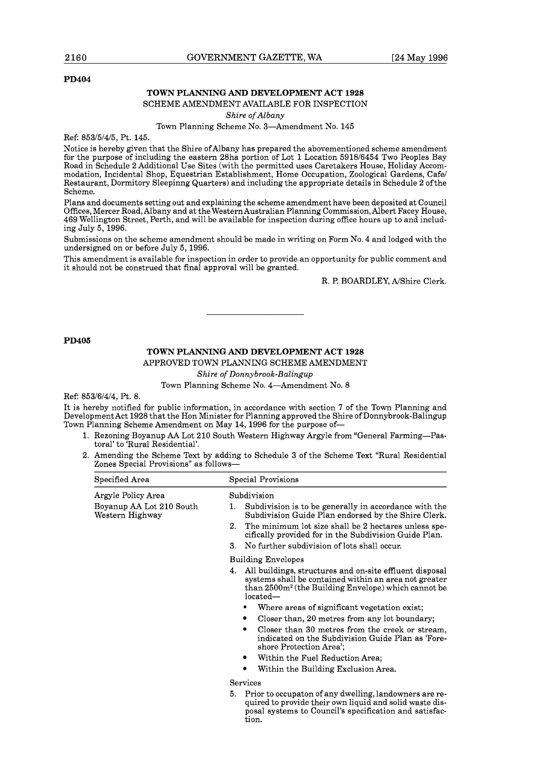#### **PD404**

#### **TOWN PLANNING AND DEVELOPMENT ACT 1928**

SCHEME AMENDMENT AVAILABLE FOR INSPECTION

*Shire of Albany* 

Town Planning Scheme No. 3-Amendment No. 145

Ref: 853/5/4/5, Pt. 145.

Notice is hereby given that the Shire ofAlbany has prepared the abovementioned scheme amendment for the purpose of including the eastern 28ha portion of Lot 1 Location 5918/6454 Two Peoples Bay Road in Schedule 2 Additional Use Sites (with the permitted uses Caretakers House, Holiday Accommodation, Incidental Shop, Equestrian Establishment, Home Occupation, Zoological Gardens, Cafe1 Restaurant, Dormitory Sleepinng Quarters) and including the appropriate details in Schedule 2 of the Scheme.

Plans and documents setting out and explaining the scheme amendment have been deposited at Council Offices, Mercer Road, Albany and at the Western Australian Planning Commission, Albert Facey House, 469 Wellington Street, Perth, and will be available for inspection during office hours up to and including July 5, 1996.

Submissions on the scheme amendment should be made in writing on Form No. 4 and lodged with the undersigned on or before July 5, 1996.

This amendment is available for inspection in order to provide an opportunity for public comment and it should not be construed that final approval will be granted.

R. P. BOARDLEY, NShire Clerk.

#### **PD405**

# **TOWN PLANNING AND DEVELOPMENT ACT 1928**

APPROVED TOWN PLANNING SCHEME AMENDMENT

*Shire of Donnybrook-Balingup* 

Town Planning Scheme No. 4-Amendment No. 8

Ref: 853/6/4/4, Pt. 8.

It is hereby notified for public information, in accordance with section 7 of the Town Planning and Development Act 1928 that the Hon Minister for Planning approved the Shire of Donnybrook-Balingup Town Planning Scheme Amendment on May 14,1996 for the purpose of-

- 1. Rezoning Boyanup AA Lot 210 South Western Highway Argyle from "General Farming-Pastoral' to 'Rural Residential'.
- 2. Amending the Scheme Text by adding to Schedule 3 of the Scheme Text "Rural Residential Zones Special Provisions" as follows-

| Specified Area                              | Special Provisions                                                                                                                                                                                    |
|---------------------------------------------|-------------------------------------------------------------------------------------------------------------------------------------------------------------------------------------------------------|
| Argyle Policy Area                          | Subdivision                                                                                                                                                                                           |
| Boyanup AA Lot 210 South<br>Western Highway | Subdivision is to be generally in accordance with the<br>1.<br>Subdivision Guide Plan endorsed by the Shire Clerk.                                                                                    |
|                                             | $2^{\circ}$<br>The minimum lot size shall be 2 hectares unless spe-<br>cifically provided for in the Subdivision Guide Plan.                                                                          |
|                                             | No further subdivision of lots shall occur.<br>3.                                                                                                                                                     |
|                                             | <b>Building Envelopes</b>                                                                                                                                                                             |
|                                             | All buildings, structures and on-site effluent disposal<br>4.<br>systems shall be contained within an area not greater<br>$\theta$ than $2500m^2$ (the Building Envelope) which cannot be<br>located— |
|                                             | Where areas of significant vegetation exist;                                                                                                                                                          |
|                                             | Closer than, 20 metres from any lot boundary;                                                                                                                                                         |
|                                             | Closer than 30 metres from the creek or stream,<br>indicated on the Subdivision Guide Plan as 'Fore-<br>shore Protection Area':                                                                       |
|                                             | Within the Fuel Reduction Area;<br>٠                                                                                                                                                                  |
|                                             | Within the Building Exclusion Area.                                                                                                                                                                   |
|                                             | Services                                                                                                                                                                                              |
|                                             | Prior to occupaton of any dwelling, landowners are re-<br>5.<br>quired to provide their own liquid and solid waste dis-<br>posal systems to Council's specification and satisfac-<br>tion.            |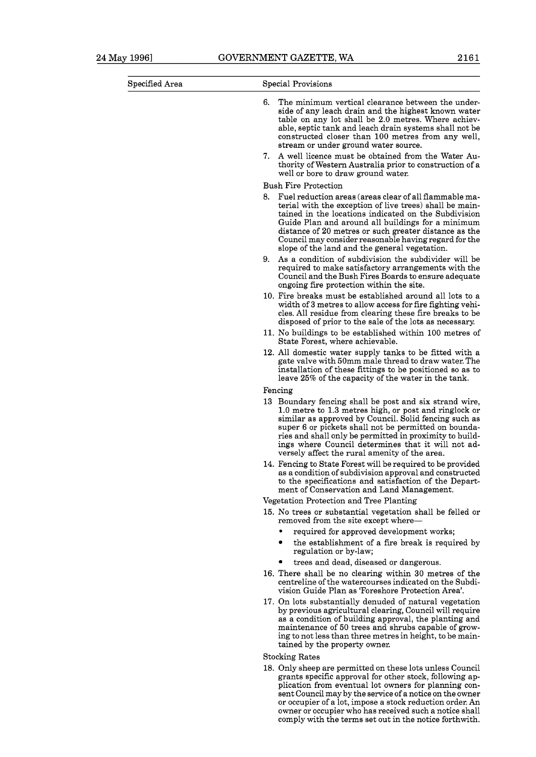| Specified Area | Special Provisions                                                                                                                                                                                                                                                                                                                                                                                      |  |  |
|----------------|---------------------------------------------------------------------------------------------------------------------------------------------------------------------------------------------------------------------------------------------------------------------------------------------------------------------------------------------------------------------------------------------------------|--|--|
|                | 6.<br>The minimum vertical clearance between the under-<br>side of any leach drain and the highest known water<br>table on any lot shall be 2.0 metres. Where achiev-<br>able, septic tank and leach drain systems shall not be<br>constructed closer than 100 metres from any well,<br>stream or under ground water source.                                                                            |  |  |
|                | A well licence must be obtained from the Water Au-<br>7.<br>thority of Western Australia prior to construction of a<br>well or bore to draw ground water.                                                                                                                                                                                                                                               |  |  |
|                | <b>Bush Fire Protection</b>                                                                                                                                                                                                                                                                                                                                                                             |  |  |
|                | 8.<br>Fuel reduction areas (areas clear of all flammable ma-<br>terial with the exception of live trees) shall be main-<br>tained in the locations indicated on the Subdivision<br>Guide Plan and around all buildings for a minimum<br>distance of 20 metres or such greater distance as the<br>Council may consider reasonable having regard for the<br>slope of the land and the general vegetation. |  |  |
|                | 9.<br>As a condition of subdivision the subdivider will be<br>required to make satisfactory arrangements with the<br>Council and the Bush Fires Boards to ensure adequate<br>ongoing fire protection within the site.                                                                                                                                                                                   |  |  |
|                | 10. Fire breaks must be established around all lots to a<br>width of 3 metres to allow access for fire fighting vehi-<br>cles. All residue from clearing these fire breaks to be<br>disposed of prior to the sale of the lots as necessary.                                                                                                                                                             |  |  |
|                | 11. No buildings to be established within 100 metres of<br>State Forest, where achievable.                                                                                                                                                                                                                                                                                                              |  |  |
|                | 12. All domestic water supply tanks to be fitted with a<br>gate valve with 50mm male thread to draw water. The<br>installation of these fittings to be positioned so as to<br>leave 25% of the capacity of the water in the tank.                                                                                                                                                                       |  |  |
|                | Fencing                                                                                                                                                                                                                                                                                                                                                                                                 |  |  |
|                | 13 Boundary fencing shall be post and six strand wire,<br>1.0 metre to 1.3 metres high, or post and ringlock or<br>similar as approved by Council. Solid fencing such as<br>super 6 or pickets shall not be permitted on bounda-<br>ries and shall only be permitted in proximity to build-<br>ings where Council determines that it will not ad-<br>versely affect the rural amenity of the area.      |  |  |
|                | 14. Fencing to State Forest will be required to be provided<br>as a condition of subdivision approval and constructed<br>to the specifications and satisfaction of the Depart-<br>ment of Conservation and Land Management.                                                                                                                                                                             |  |  |
|                | Vegetation Protection and Tree Planting                                                                                                                                                                                                                                                                                                                                                                 |  |  |
|                | 15. No trees or substantial vegetation shall be felled or<br>removed from the site except where-                                                                                                                                                                                                                                                                                                        |  |  |
|                | required for approved development works;<br>٠<br>the establishment of a fire break is required by<br>٠<br>regulation or by-law;                                                                                                                                                                                                                                                                         |  |  |
|                | trees and dead, diseased or dangerous.                                                                                                                                                                                                                                                                                                                                                                  |  |  |
|                | 16. There shall be no clearing within 30 metres of the<br>centreline of the watercourses indicated on the Subdi-<br>vision Guide Plan as 'Foreshore Protection Area'.                                                                                                                                                                                                                                   |  |  |
|                | 17. On lots substantially denuded of natural vegetation<br>by previous agricultural clearing, Council will require<br>as a condition of building approval, the planting and<br>maintenance of 50 trees and shrubs capable of grow-<br>ing to not less than three metres in height, to be main-<br>tained by the property owner.                                                                         |  |  |
|                | <b>Stocking Rates</b>                                                                                                                                                                                                                                                                                                                                                                                   |  |  |
|                | 18. Only sheep are permitted on these lots unless Council<br>grants specific approval for other stock, following ap-<br>plication from eventual lot owners for planning con-                                                                                                                                                                                                                            |  |  |

sent Council may by the service of a notice on the owner or occupier of a lot, impose a stock reduction order. An owner or occupier who has received such a notice shall comply with the terms set out in the notice forthwith.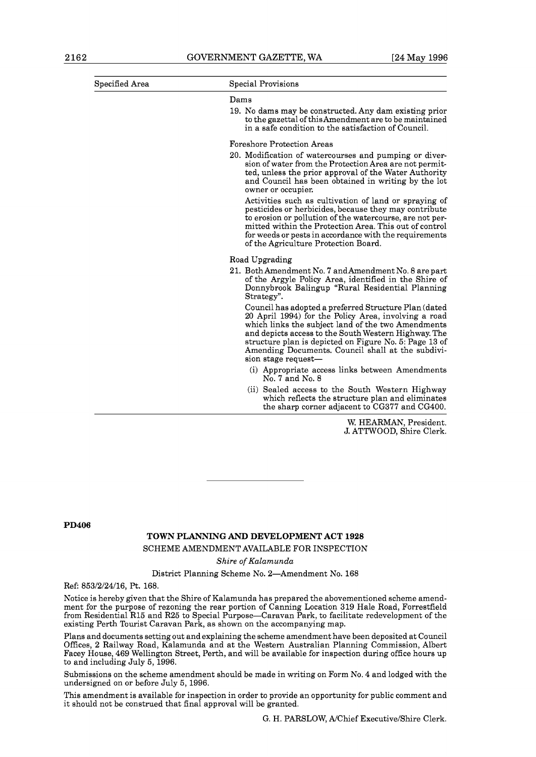| Specified Area | Special Provisions                                                                                                                                                                                                                                                                                                                                                |
|----------------|-------------------------------------------------------------------------------------------------------------------------------------------------------------------------------------------------------------------------------------------------------------------------------------------------------------------------------------------------------------------|
|                | Dams                                                                                                                                                                                                                                                                                                                                                              |
|                | 19. No dams may be constructed. Any dam existing prior<br>to the gazettal of this Amendment are to be maintained<br>in a safe condition to the satisfaction of Council.                                                                                                                                                                                           |
|                | <b>Foreshore Protection Areas</b>                                                                                                                                                                                                                                                                                                                                 |
|                | 20. Modification of watercourses and pumping or diver-<br>sion of water from the Protection Area are not permit-<br>ted, unless the prior approval of the Water Authority<br>and Council has been obtained in writing by the lot<br>owner or occupier.                                                                                                            |
|                | Activities such as cultivation of land or spraying of<br>pesticides or herbicides, because they may contribute<br>to erosion or pollution of the watercourse, are not per-<br>mitted within the Protection Area. This out of control<br>for weeds or pests in accordance with the requirements<br>of the Agriculture Protection Board.                            |
|                | Road Upgrading                                                                                                                                                                                                                                                                                                                                                    |
|                | 21. Both Amendment No. 7 and Amendment No. 8 are part<br>of the Argyle Policy Area, identified in the Shire of<br>Donnybrook Balingup "Rural Residential Planning<br>Strategy".                                                                                                                                                                                   |
|                | Council has adopted a preferred Structure Plan (dated<br>20 April 1994) for the Policy Area, involving a road<br>which links the subject land of the two Amendments<br>and depicts access to the South Western Highway. The<br>structure plan is depicted on Figure No. 5: Page 13 of<br>Amending Documents. Council shall at the subdivi-<br>sion stage request- |
|                | (i) Appropriate access links between Amendments<br>No. 7 and No. 8                                                                                                                                                                                                                                                                                                |
|                | (ii) Sealed access to the South Western Highway<br>which reflects the structure plan and eliminates<br>the sharp corner adjacent to CG377 and CG400.                                                                                                                                                                                                              |
|                | $\overline{\cdots}$ $\overline{\cdots}$ $\overline{\cdots}$                                                                                                                                                                                                                                                                                                       |

W. HEARMAN, President. J. ATTWOOD, Shire Clerk.

**PD406** 

#### **TOWN PLANNING AND DEVELOPMENT ACT 1928**

SCHEME AMENDMENT AVAILABLE FOR INSPECTION

**Shire** of *Kalamunda* 

District Planning Scheme No. 2-Amendment No. 168

Ref: 853/2/24/16, Pt. 168.

Notice is hereby given that the Shire of Kalamunda has prepared the abovementioned scheme amendment for the purpose of rezoning the rear portion of Canning Location 319 Hale Road, Forrestfield from Residential R15 and R25 to Special Purpose-Caravan Park, to facilitate redevelopment of the existing Perth Tourist Caravan Park, as shown on the accompanying map.

Plans and documents setting out and explaining the scheme amendment have been deposited at Council Offices, 2 Railway Road, Kalamunda and at the Western Australian Planning Commission, Albert Facey House, 469 Wellington Street, Perth, and will be available for inspection during office hours up to and including July 5, 1996.

Submissions on the scheme amendment should be made in writing on Form No. 4 and lodged with the undersigned on or before July 5, 1996.

This amendment is available for inspection in order to provide an opportunity for public comment and it should not be construed that final approval will be granted.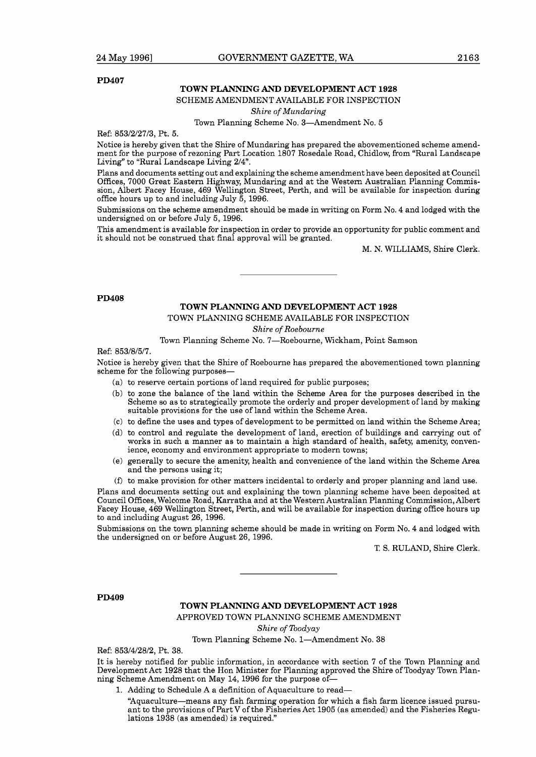**PD407** 

#### **TOWN PLANNING AND DEVELOPMENT ACT 1928**

#### SCHEME AMENDMENT AVAILABLE FOR INSPECTION

*Shire of Mundaring* 

Town Planning Scheme No. 3-Amendment No. 5

Ref: 853/2/27/3, Pt. 5.

Notice is hereby given that the Shire of Mundaring has prepared the abovementioned scheme amendment for the purpose of rezoning Part Location 1807 Rosedale Road, Chidlow, from "Rural Landscape Living" to "Rural Landscape Living 214".

Plans and documents setting out and explaining the scheme amendment have been deposited at Council Offices, 7000 Great Eastern Highway, Mundaring and at the Western Australian Planning Commission, Albert Facey House, 469 Wellington Street, Perth, and will be available for inspection during office hours up to and including July 5, 1996.

Submissions on the scheme amendment should be made in writing on Form No. 4 and lodged with the undersigned on or before July 5,1996.

This amendment is available for inspection in order to provide an opportunity for public comment and it should not be construed that final approval will be granted.

M. N. WILLIAMS, Shire Clerk.

**PD408** 

# **TOWN PLANNING AND DEVELOPMENT ACT 1928**

TOWN PLANNING SCHEME AVAILABLE FOR INSPECTION

*Shire of Roebourne* 

Town Planning Scheme No. 7-Roebourne, Wickham, Point Samson

Ref: 853/8/5/7.

Notice is hereby given that the Shire of Roebourne has prepared the abovementioned town planning scheme for the following purposes-

- (a) to reserve certain portions of land required for public purposes;
- (b) to zone the balance of the land within the Scheme Area for the purposes described in the Scheme so as to strategically promote the orderly and proper development of land by making suitable provisions for the use of land within the Scheme Area.
- (C) to define the uses and types of development to be permitted on land within the Scheme Area;
- (d) to control and regulate the development of land, erection of buildings and carrying out of works in such a manner as to maintain a high standard of health, safety, amenity, convenience, economy and environment appropriate to modern towns;
- (e) generally to secure the amenity, health and convenience of the land within the Scheme Area and the persons using it;
- (f) to make provision for other matters incidental to orderly and proper planning and land use.

Plans and documents setting out and explaining the town planning scheme have been deposited at Council Offices, Welcome Road, Karratha and at the Western Australian Planning Commission, Albert Facey House, 469 Wellington Street, Perth, and will be available for inspection during office hours up to and including August 26, 1996.

Submissions on the town planning scheme should be made in writing on Form No. 4 and lodged with the undersigned on or before August 26,1996.

**T,** S. RULAND, Shire Clerk.

**PD409** 

**TOWN PLANNING AND DEVELOPMENT ACT 1928**  APPROVED TOWN PLANNING SCHEME AMENDMENT

*Shire of Toodyay* 

Town Planning Scheme No. 1-Amendment No. 38

Ref: 853/4/28/2, Pt. 38.

It is hereby notified for public information, in accordance with section 7 of the Town Planning and Development Act 1928 that the Hon Minister for Planning approved the Shire of Toodyay Town Planning Scheme Amendment on May 14, 1996 for the purpose of-

1. Adding to Schedule A a definition of Aquaculture to read-

"Aquaculture-means any fish farming operation for which a fish farm licence issued pursuant to the provisions of Part V of the Fisheries Act 1905 (as amended) and the Fisheries Regulations 1938 (as amended) is required."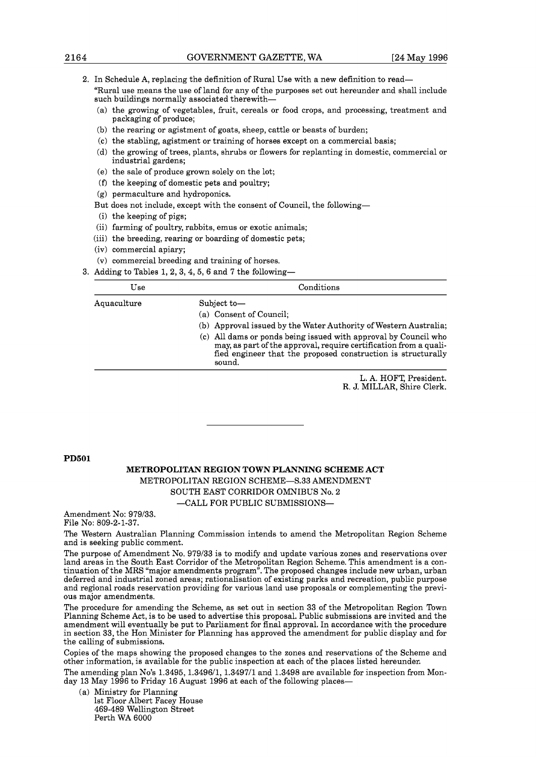**2.** In Schedule A, replacing the definition of Rural Use with a new definition to read- "Rural use means the use of land for any of the purposes set out hereunder and shall include such buildings normally associated therewith-

- (a) the growing of vegetables, fruit, cereals or food crops, and processing, treatment and packaging of produce;
- (b) the rearing or agistment of goats, sheep, cattle or beasts of burden;
- (C) the stabling, agistment or training of horses except on a commercial basis;
- (d) the growing of trees, plants, shrubs or flowers for replanting in domestic, commercial or industrial gardens;
- (e) the sale of produce grown solely on the lot;
- **(f)** the keeping of domestic pets and poultry;
- (g) permaculture and hydroponics.
- But does not include, except with the consent of Council, the following-
- (i) the keeping of pigs;
- (ii) farming of poultry, rabbits, emus or exotic animals;
- (iii) the breeding, rearing or boarding of domestic pets;
- (iv) commercial apiary;
- (V) commercial breeding and training of horses.
- 3. Adding to Tables 1, 2, 3, 4, 5, 6 and 7 the following-

| Use         | Conditions                                                                                                                                                                                                                                                                                                                   |
|-------------|------------------------------------------------------------------------------------------------------------------------------------------------------------------------------------------------------------------------------------------------------------------------------------------------------------------------------|
| Aquaculture | Subject to-<br>(a) Consent of Council:<br>(b) Approval issued by the Water Authority of Western Australia;<br>(c) All dams or ponds being issued with approval by Council who<br>may, as part of the approval, require certification from a quali-<br>fied engineer that the proposed construction is structurally<br>sound. |

L. A. HOFT, President. R. J. MILLAR, Shire Clerk.

#### **PD501**

#### **METROPOLITAN REGION TOWN PLANNING SCHEME ACT**  METROPOLITAN REGION SCHEME-S.33 AMENDMENT SOUTH EAST CORRIDOR OMNIBUS No. **2**  -CALL FOR PUBLIC SUBMISSIONS-

Amendment No: 979/33. File No: 809-2-1-37.

The Western Australian Planning Commission intends to amend the Metropolitan Region Scheme and is seeking public comment.

The purpose of Amendment No. 979/33 is to modify and update various zones and reservations over land areas in the South East Corridor of the Metropolitan Region Scheme. This amendment is a continuation of the MRS "major amendments program". The proposed changes include new urban, urban deferred and industrial zoned areas; rationalisation of existing parks and recreation, public purpose and regional roads reservation providing for various land use proposals or complementing the previous major amendments.

The procedure for amending the Scheme, as set out in section 33 of the Metropolitan Region Town Planning Scheme Act, is to be used to advertise this proposal. Public submissions are invited and the amendment will eventually be put to Parliament for final approval. In accordance with the procedure in section 33, the Hon Minister for Planning has approved the amendment for public display and for the calling of submissions.

Copies of the maps showing the proposed changes to the zones and reservations of the Scheme and other information, is available for the public inspection at each of the places listed hereunder.

The amending plan No's 1.3495, 1.3496/1, 1.3497/1 and 1.3498 are available for inspection from Monday 13 May 1996 to Friday 16 August 1996 at each of the following places-

(a) Ministry for Planning 1st Floor Albert Facey House 469-489 Wellington Street Perth WA 6000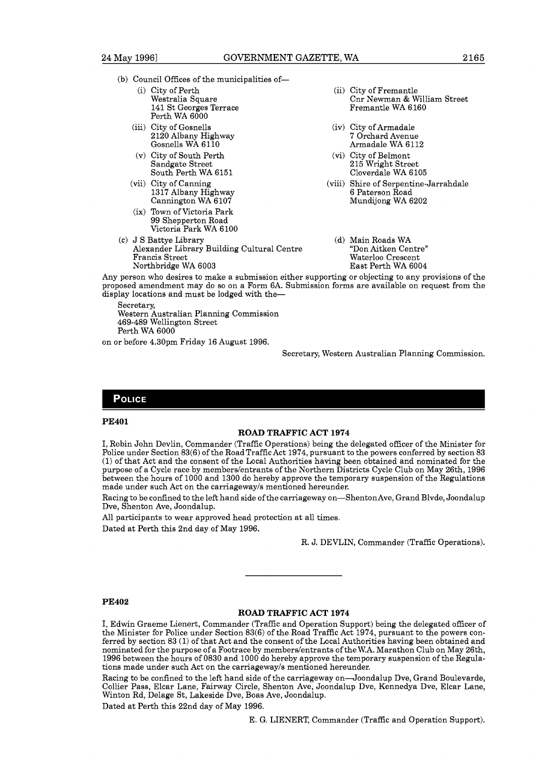- (b) Council Offices of the municipalities of-
	- (i) City of Perth (ii) City of Fremantle (iii) City of Fremantle (iii) City of Fremantle (iii) City of Fremantle (iii) City of Fremantle (iii) City of Fremantle (iii) City of Fremantle (iii) City of Fremantle (iii) City of 141 St Georges Terrace Perth WA 6000
	- (iii) City of Gosnells (iv) City of Armadale<br>2120 Albany Highway (iv) 7 Orchard Avenue 2120 Albany Highway<br>Gosnells WA 6110
	- (v) City of South Perth (vi) City of Belmont<br>Sandgate Street 215 Wright Street South Perth WA 6151
	- Cannington WA 6107
	- (ix) Town of Victoria Park 99 Shepperton Road Victoria Park WA 6100
- (c) J S Battye Library (d) Main Roads WA<br>Alexander Library Building Cultural Centre "Don Aitken Centre" Alexander Library Building Cultural Centre<br>Francis Street Northbridge WA 6003
- Cnr Newman & William Street<br>Fremantle WA 6160
- Armadale WA 6112
- 215 Wright Street<br>Cloverdale WA 6105
- (vii) City of Canning (viii) Shire of Serpentine-Jarrahdale 1317 Albany Highway 6 Paterson Road
	- Waterloo Crescent<br>East Perth WA 6004

Any person who desires to make a submission either supporting or objecting to any provisions of the proposed amendment may do so on a Form 6A. Submission forms are available on request from the display locations and must be lodged with the-

Secretary, Western Australian Planning Commission 469-489 Wellington Street Perth WA 6000

on or before 4.30pm Friday 16 August 1996.

Secretary, Western Australian Planning Commission.

#### **POLICE**

#### **PE401**

#### **ROAD TRAFFIC ACT 1974**

**I,** Robin John Devlin, Commander (Traffic Operations) being the delegated officer of the Minister for Police under Section 83(6) of the Road Traffic Act 1974, pursuant to the powers conferred by section 83 (1) of that Act and the consent of the Local Authorities having been obtained and nominated for the purpose of a Cycle race by memberslentrants of the Northern Districts Cycle Club on May 26th, 1996 between the hours of 1000 and 1300 do hereby approve the temporary suspension of the Regulations made under such Act on the carriagewayls mentioned hereunder.

Racing to be confined to the left hand side of the carriageway on-Shenton Ave, Grand Blvde, Joondalup Dve, Shenton Ave, Joondalup.

All participants to wear approved head protection at all times. Dated at Perth this 2nd day of May 1996.

R. J. DEVLIN, Commander (Traffic Operations).

#### **PE402**

#### **ROAD TRAFFIC ACT 1974**

**I,** Edwin Graeme Lienert, Commander (Traffic and Operation Support) being the delegated officer of the Minister for Police under Section 83(6) of the Road Traffic Act 1974, pursuant to the powers conferred by section 83 (1) of that Act and the consent of the Local Authorities having been obtained and nominated for the purpose of a Footrace by memberslentrants of the W.A. Marathon Club on May 26th, 1996 between the hours of 0830 and 1000 do hereby approve the temporary suspension of the Regulations made under such Act on the carriagewayls mentioned hereunder.

Racing to be confined to the left hand side of the carriageway on-Joondalup Dve, Grand Boulevarde, Collier Pass, Elcar Lane, Fairway Circle, Shenton Ave, Joondalup Dve, Kennedya Dve, Elcar Lane, Winton Rd, Delage St, Lakeside Dve, Boas Ave, Joondalup.

Dated at Perth this 22nd day of May 1996.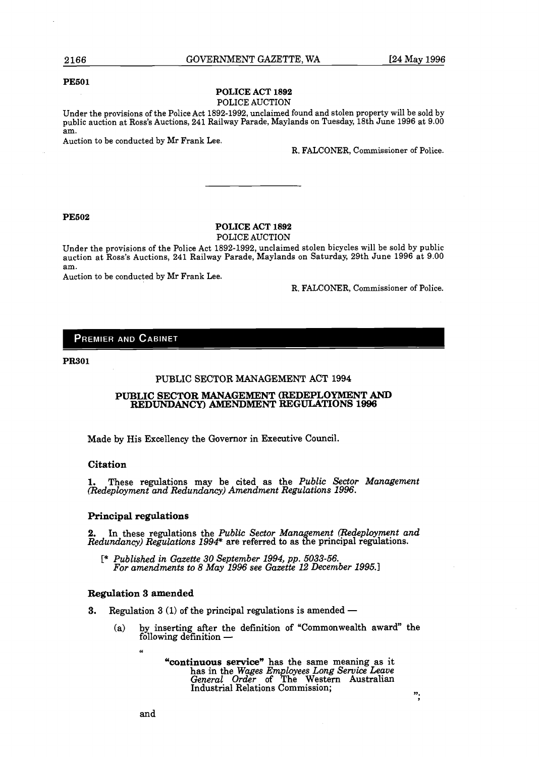";

#### **PESO1**

#### **POLICE ACT 1892**  POLICE AUCTION

Under the provisions of the Police Act 1892-1992, unclaimed found and stolen property will be sold by public auction at Ross's Auctions, 241 Railway Parade, Maylands on Tuesday, 18th June 1996 at 9.00 am.

Auction to be conducted by Mr Frank Lee.

R. FALCONER, Commissioner of Police.

#### **PE602**

# **POLICE ACT 1892**

POLICE AUCTION

Under the provisions of the Police Act 1892-1992, unclaimed stolen bicycles will be sold by public auction at Ross's Auctions, 241 Railway Parade, Maylands on Saturday, 29th June 1996 at 9.00 am.

Auction to be conducted by Mr Frank Lee.

R. FALCONER, Commissioner of Police.

#### **PREMIER AND CABINET**

**PR301** 

#### PUBLIC SECTOR MANAGEMENT ACT 1994

#### **PUBLIC SECTOR MANAGEMENT (REDEPLOYMENT AND REDUNDANCY) AMENDMENT REGULATIONS 1996**

Made by His Excellency the Governor in Executive Council.

#### **Citation**

**1.** These regulations may be cited as the *Public Sector Management* (Redeployment and Redundancy) Amendment Regulations 1996.

#### **Principal regulations**

In these regulations the *Public Sector Management (Redeployment and Redundancy) Regulations 1994\** are referred to as the principal regulations.

*C\* Published in Gazette 30 September 1994,* **pp.** *5033-56. For amendments to 8 May 1996 see Gazette 12 December 1995.1* 

#### **Regulation 3 amended**

**U** 

- **3.** Regulation 3 (1) of the principal regulations is amended
	- **(a)** by inserting after the definition of "Commonwealth award" the  $f(x)$  is the principal<br>by inserting after the d<br>following definition —

**"continuous service"** has the same meaning as it has in the *Wages Employees Long Service Leave*<br>*General Order* of The Western Australian Industrial Relations Commission;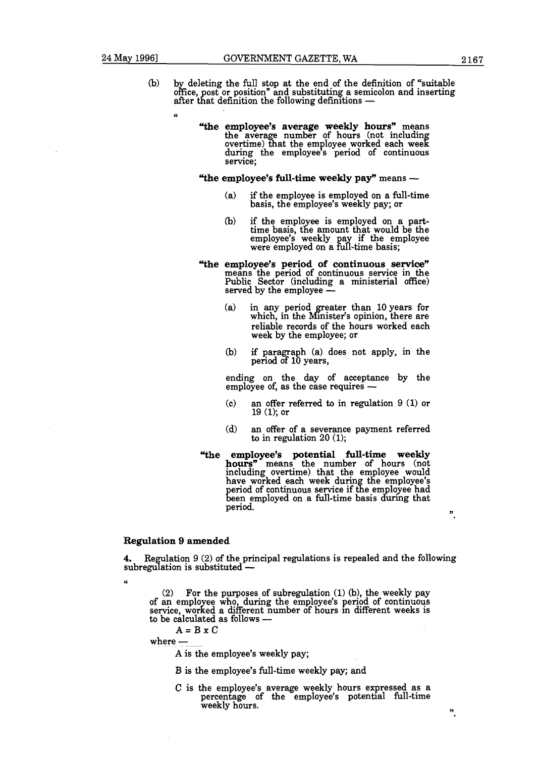$\overline{u}$ 

- $(b)$  by deleting the full stop at the end of the definition of "suitable" office, post or position" and substituting a semicolon and inserting after that definition the following definitions  $-$ 
	- **"the employee's average weekly hours"** means the average number of hours (not including overtime) that the employee worked each week during the employee's period of continuous service;

#### **"the employee's full-time weekly pay"** means -

- (a) if the employee is employed on a full-time basis, the employee's weekly pay; or
- (b) if the employee is employed on a part-<br>time basis, the amount that would be the employee's weekly pay if the employee were employed on a full-time basis;
- **"the employee's period of continuous service"**  means the period of continuous service in the Public Sector (including a ministerial office) served by the employee -
	- (a) in any period greater than 10 years for which, in the Minister's opinion, there are reliable records of the hours worked each week by the employee; or
	- (b) if paragraph (a) does not apply, in the period of 10 years,

ending on the day of acceptance by the ending on the day of acceptance<br>employee of, as the case requires --

- (C) an offer referred to in regulation 9 (1) or 19 (l); or
- (d) an offer of a severance payment referred to in regulation 20 (1);
- **"the employee's potential full-time weekly hours"** means the number of hours (not including overtime) that have worked each week eriod of continuous service if been employed on a full-time period. **',**

#### **Regulation 9 amended**

**4.** Regulation 9 (2) of the principal regulations is repealed and the following subregulation is substituted  $-$ 

(2) For the purposes of subregulation  $(1)$  (b), the weekly pay of an employee who, during the employee's period of continuous service, worked a different number of hours in different weeks is of an employee who, during the<br>service, worked a different num<br>to be calculated as follows --

 $A = B \times C$ 

where  $-$ 

c.

**A** is the employee's weekly pay;

B is the employee's full-time weekly pay; and

C is the employee's average weekly hours expressed as a percentage of the employee's potential full-time<br>weekly hours. **n**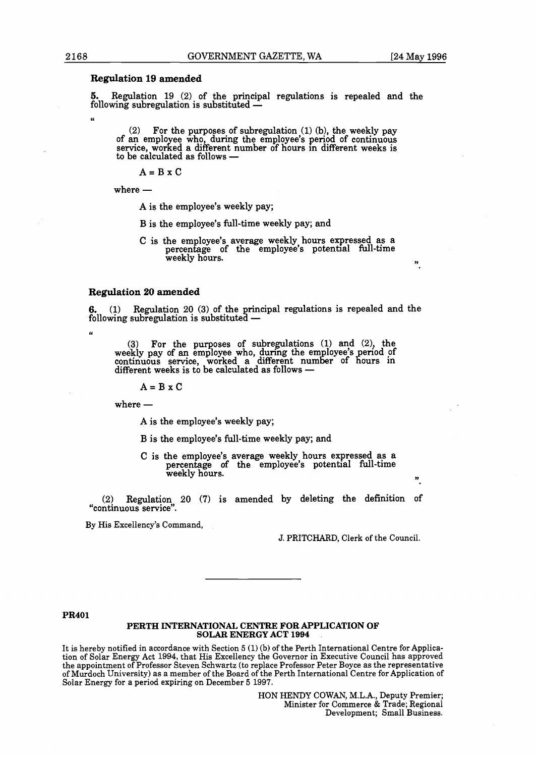#### **Regulation 19 amended**

5. Regulation **19 (2)** of the principal regulations is repealed and the Following subregulation 19 (2) of the principal<br>following subregulation is substituted —

(2) For the purposes of subregulation **(1)** (b), the weekly pay of an employee who, during the employee's period of continuous service, worked a different number of hours in different weeks is of an employee who, during the<br>service, worked a different nun<br>to be calculated as follows —

 $A = B \times C$ <br>where —

**A** is the employee's weekly pay;

B is the employee's full-time weekly pay; and

C is the employee's average weekly hours expressed as a percentage of the employee's potential full-time weekly hours.

#### **Regulation 20 amended**

**6. (1)** Regulation **20 (3)** of the rincipal regulations is repealed and the following subregulation is substituted  $-$ 

(3) For the purposes of subregulations (1) and (2), the weekly pay of an employee who, during the employee's period of continuous service, worked a different number of hours in different weeks is to be calculated as follow continuous service, worked a different number of hours in

 $A = B \times C$ <br>where —

**66** 

**A** is the employee's weekly pay;

B is the employee's full-time weekly pay; and

C is the employee's average weekly hours expressed as a percentage of the employee's potential full-time weekly hours. **n** 

**(2)** Regulation **20 (7)** is amended by deleting the definition of "continuous service".

By His Excellency's Command,

J. PRITCHARD, Clerk of the Council.

#### **PR401**

#### **PERTH INTERNATIONAL CENTRE FOR APPLICATION OF SOLAR ENERGY ACT 1994**

It is hereby notified in accordance with Section 5 **(1)** (b) of the Perth International Centre for Application of Solar Energy Act 1994, that His Excellency the Governor in Executive Council has approved the appointment of Professor Steven Schwartz (to replace Professor Peter Boyce as the representative of Murdoch University) as a member of the Board of the Perth International Centre for Application of Solar Energy for a period expiring on December 5 1997.

> HON HENDY COWAN, M.L.A., Deputy Premier; Minister for Commerce & Trade; Regional Development; Small Business.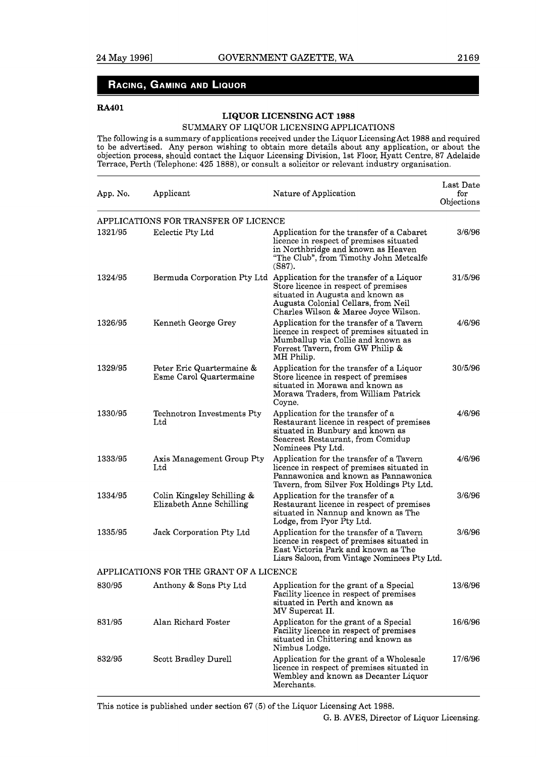## RACING, GAMING AND LIQUOR

#### **RA401**

## **LIQUOR LICENSING ACT 1988**

#### SUMMARY OF LIQUOR LICENSING APPLICATIONS

The following is a summary of applications received under the Liquor Licensing Act 1988 and required to be advertised. Any person wishing to obtain more details about any application, or about the objection process, should contact the Liquor Licensing Division, 1st Floor, Hyatt Centre, 87 Adelaide Terrace, Perth (Telephone: 425 1888), or consult a solicitor or relevant industry organisation.

| App. No.                                | Applicant                                              | Nature of Application                                                                                                                                                                                                           | Last Date<br>for<br>Objections |  |  |
|-----------------------------------------|--------------------------------------------------------|---------------------------------------------------------------------------------------------------------------------------------------------------------------------------------------------------------------------------------|--------------------------------|--|--|
|                                         | APPLICATIONS FOR TRANSFER OF LICENCE                   |                                                                                                                                                                                                                                 |                                |  |  |
| 1321/95                                 | Eclectic Pty Ltd                                       | Application for the transfer of a Cabaret<br>licence in respect of premises situated<br>in Northbridge and known as Heaven<br>"The Club", from Timothy John Metcalfe<br>$(S87)$ .                                               | 3/6/96                         |  |  |
| 1324/95                                 |                                                        | Bermuda Corporation Pty Ltd Application for the transfer of a Liquor<br>Store licence in respect of premises<br>situated in Augusta and known as<br>Augusta Colonial Cellars, from Neil<br>Charles Wilson & Maree Joyce Wilson. | 31/5/96                        |  |  |
| 1326/95                                 | Kenneth George Grey                                    | Application for the transfer of a Tavern<br>licence in respect of premises situated in<br>Mumballup via Collie and known as<br>Forrest Tavern, from GW Philip &<br>MH Philip.                                                   | 4/6/96                         |  |  |
| 1329/95                                 | Peter Eric Quartermaine &<br>Esme Carol Quartermaine   | Application for the transfer of a Liquor<br>Store licence in respect of premises<br>situated in Morawa and known as<br>Morawa Traders, from William Patrick<br>Coyne.                                                           | 30/5/96                        |  |  |
| 1330/95                                 | Technotron Investments Pty<br>Ltd                      | Application for the transfer of a<br>Restaurant licence in respect of premises<br>situated in Bunbury and known as<br>Seacrest Restaurant, from Comidup<br>Nominees Pty Ltd.                                                    | 4/6/96                         |  |  |
| 1333/95                                 | Axis Management Group Pty<br>Ltd                       | Application for the transfer of a Tavern<br>licence in respect of premises situated in<br>Pannawonica and known as Pannawonica<br>Tavern, from Silver Fox Holdings Pty Ltd.                                                     | 4/6/96                         |  |  |
| 1334/95                                 | Colin Kingsley Schilling &<br>Elizabeth Anne Schilling | Application for the transfer of a<br>Restaurant licence in respect of premises<br>situated in Nannup and known as The<br>Lodge, from Pyor Pty Ltd.                                                                              | 3/6/96                         |  |  |
| 1335/95                                 | Jack Corporation Pty Ltd                               | Application for the transfer of a Tavern<br>licence in respect of premises situated in<br>East Victoria Park and known as The<br>Liars Saloon, from Vintage Nominees Pty Ltd.                                                   | 3/6/96                         |  |  |
| APPLICATIONS FOR THE GRANT OF A LICENCE |                                                        |                                                                                                                                                                                                                                 |                                |  |  |
| 830/95                                  | Anthony & Sons Pty Ltd                                 | Application for the grant of a Special<br>Facility licence in respect of premises<br>situated in Perth and known as<br>MV Supercat II.                                                                                          | 13/6/96                        |  |  |
| 831/95                                  | Alan Richard Foster                                    | Applicaton for the grant of a Special<br>Facility licence in respect of premises<br>situated in Chittering and known as<br>Nimbus Lodge.                                                                                        | 16/6/96                        |  |  |
| 832/95                                  | Scott Bradley Durell                                   | Application for the grant of a Wholesale<br>licence in respect of premises situated in<br>Wembley and known as Decanter Liquor<br>Merchants.                                                                                    | 17/6/96                        |  |  |

This notice is published under section 67 (5) of the Liquor Licensing Act 1988. G. B. AVES, Director of Liquor Licensing.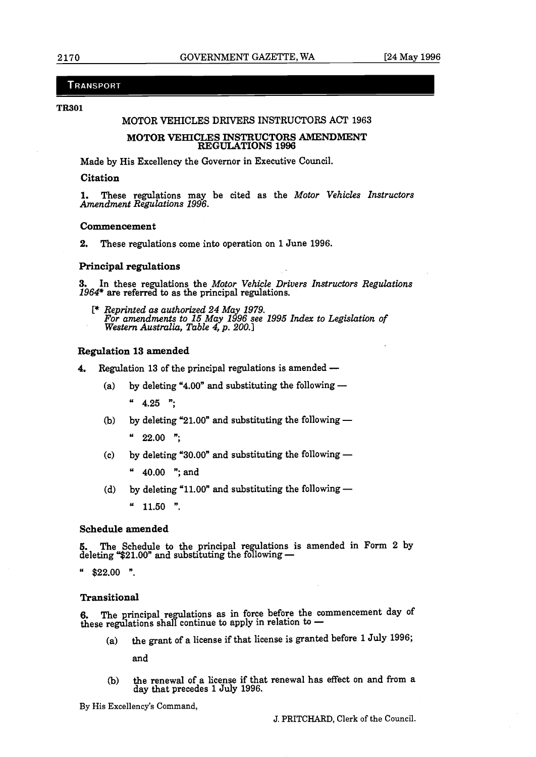#### TRANSPORT

#### **TR301**

#### MOTOR VEHICLES DFUVERS INSTRUCTORS ACT **1963**

#### **MOTOR VEHICLES INSTRUCTORS AMENDMENT REGULATIONS 1996**

Made by His Excellency the Governor in Executive Council.

#### **Citation**

1. These regulations may be cited as the *Motor Vehicles Instructors Amendment Regulations 1996.* 

#### **Commencement**

**2.** These regulations come into operation on **1** June **1996.** 

#### **Principal regulations**

**3.** In these regulations the *Motor Vehicle Drivers Instructors Regulations 1964\** are referred **to** as the principal regulations.

 $*$  *Reprinted as authorized 24 May 1979. For amendments to 15 May 1&6 see 1995 Index to Legislation of* **Western** *Austmlia, Table 4, p. 200.1* 

#### **Regulation 13 amended**

- **4.** Regulation **13** of the principal regulations is amended
	- (a) by deleting "4.00" and substituting the following -

" **4.25** ";

(b) by deleting "21.00" and substituting the following -

" **22.00** ";

(c) by deleting "30.00" and substituting the following -

" **40.00** "; and

(d) by deleting "11.00" and substituting the following -

" **11.50** ".

#### **Schedule amended**

**5.** The Schedule to the principal regulations is amended in Form 2 by deleting **"\$21.00"** and substituting the following —

" **\$22.00** ".

#### **Transitional**

**6.** The principal regulations as in force before the commencement day of these regulations as in force before the comm<br>3. The principal regulations as in force before the comm<br>these regulations shall continue to apply in relation to —

(a) the grant of a license if that license is granted before **1** July **1996;** 

and

**(b)** the renewal of a license if that renewal has effect on and from a day that precedes 1 July **1996.** 

By His Excellency's **Command,**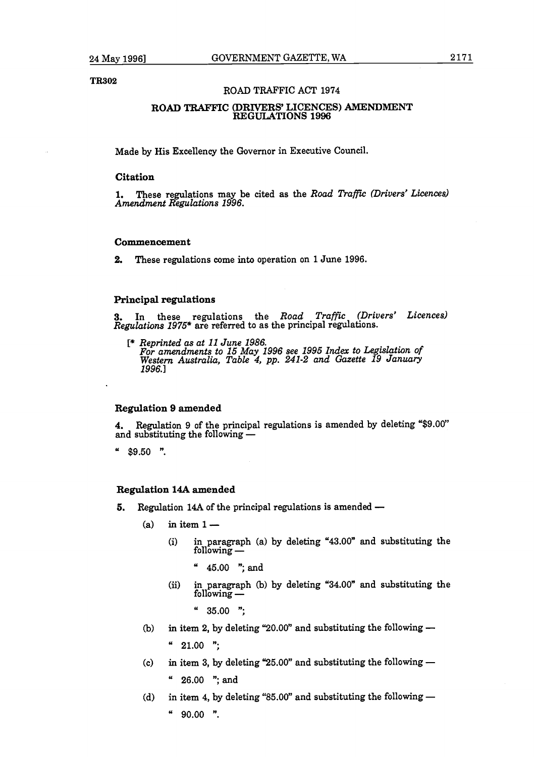**TR.02** 

#### **ROAD** TRAFFIC ACT **1974**

#### **ROAD TRAFFIC (DRIVERS' LICENCES) AMENDMENT REGULATIONS 1996**

Made by His Excellency the Governor in Executive Council.

#### **Citation**

1. These regulations may be cited as the *Road Traffic (Drivers' Licences) Amendment Regulations 1996.* 

#### **Commencement**

**2.** These regulations come into operation on **1** June **1996.** 

#### **Principal regulations**

**3.** In these regulations the *Road Trafic (Drivers' Licences) Regulations 1975\** are referred to as the principal regulations.

*C\* Reprinted as at 11 June 1986. For amendments to 15 May 1996 see 1995 Index to Le islation of Western Australia, Table 4, pp. 241-2 and Gazette* **P** *9 January 1996. l* 

#### **Regulation 9 amended**

**4.** Regulation **9** of the principal regulations is amended by deleting **"\$9.00"**  and substituting the following the following the following  $-$ 

 $"$ \$9.50 ".

#### **Regulation 14A amended**

- **5.** Regulation 14A of the principal regulations is amended
	- $(a)$  in item  $1-$ 
		- (i) in paragraph (a) by deleting **"43.00"** and substituting the n 1 —<br>in paragraph (<br>following —
			- " **45.00** "; and
		- (ii) in paragraph (b) by deleting **"34.00"** and substituting the Fo.co , and<br>in paragraph<br>following —

<sup>4</sup> 35.00 ";<br>(b) in item 2, by deleting "20.00" and substituting the following —

- <sup>"</sup> 21.00 ";<br>(c) in item 3, by deleting "25.00" and substituting the following
	- " **26.00** "; and
- (d) in item 4, by deleting "85.00" and substituting the following -
	- $90.00$  ".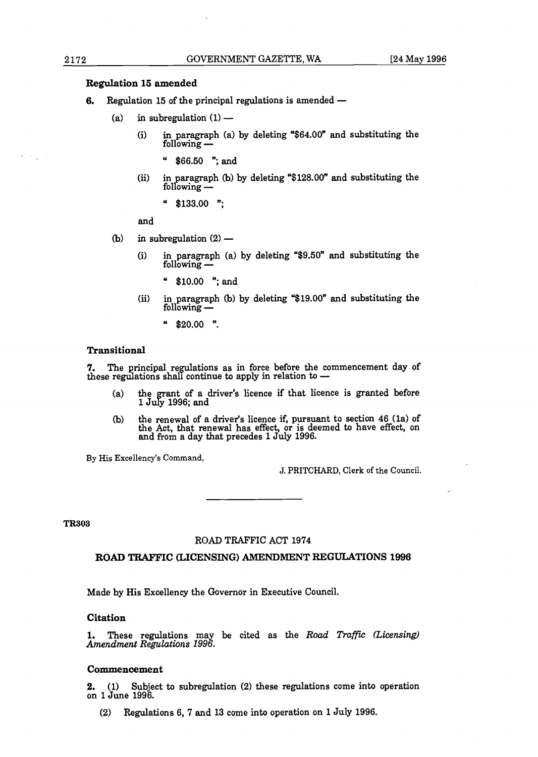#### **Regulation 15 amended**

- **&egulation 15 amended<br><b>6.** Regulation 15 of the principal regulations is amended egulation 15 of the principal reg<br>
(a) in subregulation  $(1)$ 
	- - i) in paragraph (a) by deleting " $$64.00"$  and substituting the eguidadon (1) =<br>n paragraph (1)<br>ollowing —
			- $$66.50$  "; and
		- ii) in paragraph (b) by deleting "\$128.00" and substituting the  $\begin{array}{c} \text{p} \text{00.50} \\ \text{p} \text{m} \text{p} \text{aragraph} \\ \text{following} \end{array}$

"  $$133.00$  ";

and

- (b) in subregulation  $(2)$ 
	- (i) in paragraph (a) by deleting " $$9.50"$  and substituting the following  $-$ 
		- " \$10.00 "; and
	- (ii) in pa~agraph **(b)** by deleting "\$19.00" and substituting the  $\frac{10.00}{n}$ , and paragraph (
		- "  $$20.00$  ".

#### **Transitional**

7. The principal regulations as in force before the commencement day of transitional<br>7. The principal regulations as in force before the comn<br>hese regulations shall continue to apply in relation to -

- a) the grant of a driver's licence if that licence is granted before 1 July 1996; and
- b) the renewal of a driver's licence if, pursuant to section 46 (1a) of the Act, that renewal has effect, or is deemed to have effect, on and from a day that precedes l duly 1996.

By His Excellency's Command,

J. PRITCHARD, Clerk of the Council.

**TR303** 

#### **ROAD TRAFFIC** ACT 1974

#### **ROAD TRAFFIC (LICENSING) AMENDMENT REGULATIONS 1996**

Made by His Excellency the Governor in Executive Council.

#### **Citation**

**1.** These regulations may be cited as the *Road Traffic (Licensing) Amendment Regulations 1996*.

#### **Commencement**

**2.** (1) Subject to subregulation (2) these regulations come into operation on 1 June 1996.

**(2)** Regulations 6, 7 and 13 come into operation on 1 July 1996.

 $\mathcal{L}^{\text{max}}(\mathcal{L})$  ,  $\mathcal{L}^{\text{max}}$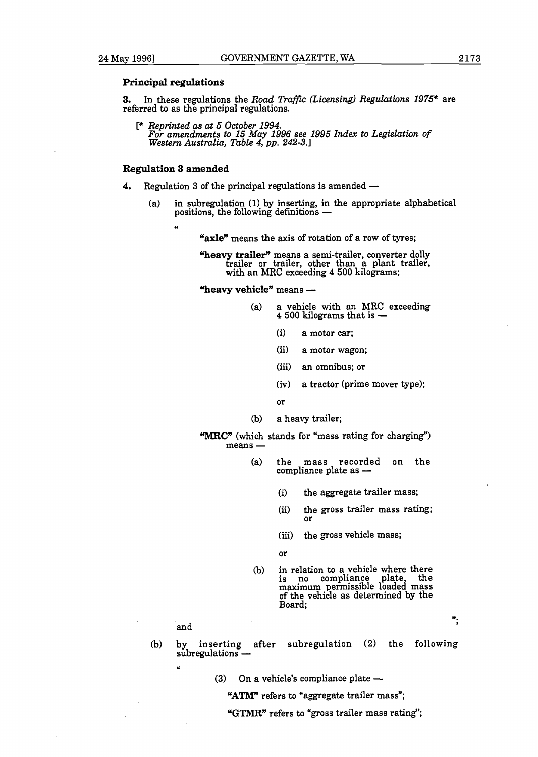#### **Principal regulations**

**3.** In these regulations the *Road Traffic (Licensing) Regulations 1975\** are referred to as the principal regulations.

[\* *Reprinted as at 5 October 1994. For amendments to 15* **May** *1996 see 1995* **Index** *to Legislation of Western Australia, Table 4, pp. 242-3.1* 

#### **Regulation 3 amended**

- **4.** Regulation 3 of the principal regulations is amended -
	- (a) in subregulation (1) by inserting, in the appropriate alphabetical positions, the following definitions  $-$

**U** 

"axle" means the axis of rotation of a row of tyres;

**"heavy trailer"** means a semi-trailer, converter dolly trailer or trailer, other than a plant trailer, **with** an MRC exceeding 4 **500** kilograms;

"heavy vehicle" means -

- (a) a vehicle with an **MRC** exceeding 4 **500** kilograms that is
	- (i) a motor **car;**
	- (ii) a motor wagon;
	- (iii) an omnibus; or
	- (iv) a tractor (prime mover type);
	- or
- **(b)** a heavy trailer;
- 

"MRC" (which stands for "mass rating for charging")  $\dddot{m}$  (which stame  $\ddot{m}$ )

- (a) the mass recorded on the compliance plate as -
	- (i) the aggregate trailer mass;
	- (ii) the gross trailer mass rating; or
	- (iii) the gross vehicle mass;
	- or
- (b) in relation to a vehicle where there is no compliance plate, the maximum permissible loaded mass of the vehicle as determined by the Board;

 $\ddot{ }$ 

and

**U** 

- (b) by inserting after subregulation (2) the following<br>subregulations subregulations —<br>
"
(3) On a vehicle's compliance plate —
	- - "ATM" refers to "aggregate trailer mass";
		- **"GTMR"** refers to "gross trailer mass rating";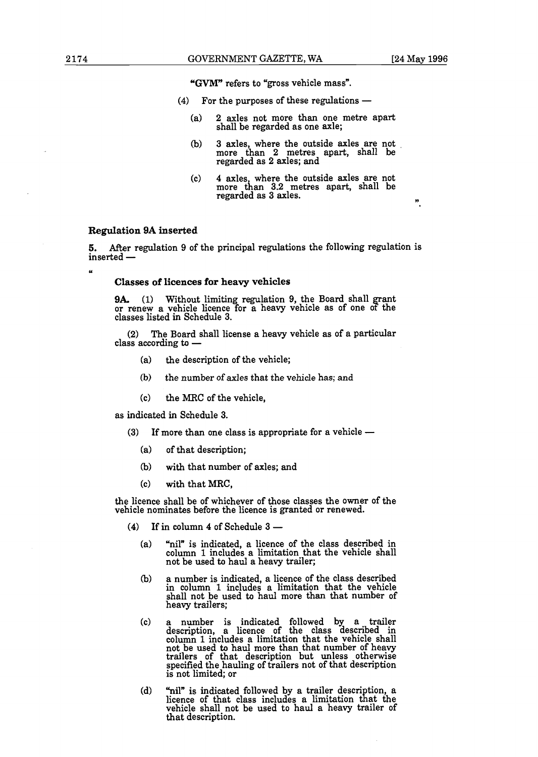**U** 

**"GVM"** refers to "gross vehicle mass".

- $(4)$  For the purposes of these regulations  $-$ 
	- (a) 2 axles not more than one metre apart shall be regarded as one axle;
	- (b) 3 axles, where the outside axles are not more than 2 metres apart, shall be regarded as 2 axles; and
	- (c) 4 axles, where the outside axles are not more than 3.2 metres apart, shall be regarded as 3 axles. **<sup>v</sup>**

#### **Regulation 9A inserted**

**5.** After regulation 9 of the principal regulations the following regulation is inserted -<br>5. After regularist<br>inserted -

#### **Classes of licences for heavy vehicles**

**9A.** (1) Without limiting regulation 9, the Board shall grant or renew a vehicle licence for a heavy vehicle as of one of the classes listed in Schedule 3.

(2) The Board shall license a heavy vehicle as of a particular class according to  $-$ 

- (a) the description of the vehicle;
- **(b)** the number of axles that the vehicle **has; and**
- (C) the MRC of the vehicle,

as indicated in Schedule 3.

- (3) If more than one class is appropriate for a vehicle  $-$ 
	- (a) of that description;
	- **(b)** with that number of axles; and
	- (C) with that **MRC,**

the licence shall be of whichever of those classes the owner of the wehicle nominates before the licence is granted or renewed.<br>
(4) If in column 4 of Schedule 3 —

- - "nil" is indicated, a licence of the class described in  $(a)$ column 1 includes a limitation that the vehicle shall not be used to haul a heavy trailer;
	- a number is indicated, a licence of the class described (ኬ) in column 1 includes a limitation that the vehicle shall not be used to haul more than that number of heavy trailers;
	- $(c)$ a number is indicated followed by a trailer description, a licence of the class described in column 1 includes a limitation that the vehicle shall not be used to haul more than that number of heavy trailers of that description but unless otherwise specified the hauling of trailers not of that description is not limited; or
	- $(d)$ "nil" is indicated followed by a trailer description, a licence of that class includes a limitation that the vehicle shall not be used to haul a heavy trailer of that description.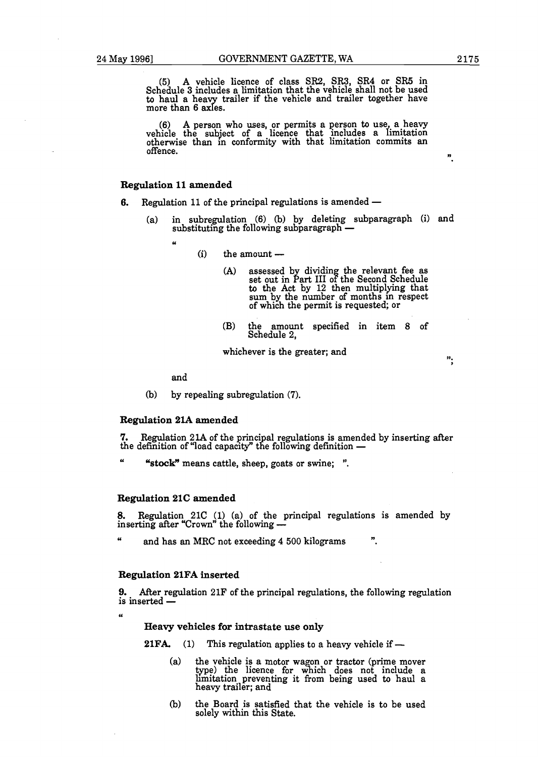**(5)** A vehicle licence of class SR2, SR3, SR4 or SR5 in Schedule **3** includes a limitation that the vehicle shall not be used to haul a heavy trailer if the vehicle and trailer together have more than 6 axles.

 $(6)$  A person who uses, or permits a person to use, a heavy vehicle the subject of a licence that includes a limitation otherwise than in conformity with that limitation commits an offence. **n** 

#### **Regulation 11 amended**

- **6.** Regulation 11 of the principal regulations is amended
	- (a) in subregulation **(6)** (b) by deleting subparagraph (i) and substituting the following subparagraph
		- u
- $(i)$  the amount  $-$ 
	- (A) assessed by dividing the relevant fee as set out in Part III of the Second Schedule to the Act by 12 then multiplying that sum by the number of months in respect of which the permit is requested; or
	- (B) the amount specified in item 8 of Schedule 2,

whichever is the greater; and

 $\ddot{\mathbf{v}}$ .

#### and

(b) by repealing subregulation **(7).** 

#### **Regulation 21A amended**

**7.** Regulation 21A of the principal regulations is amended by inserting after the definition of "load capacity" the following definition  $-$ 

<sup>U</sup>**"stock"** means cattle, sheep, goats or swine; ".

#### **Regulation 21C amended**

8. Regulation 21C (1) (a) of the principal regulations is amended by inserting after "Crown" the following  $-$ 

 $\boldsymbol{\mu}$ and has an MRC not exceeding **4** 500 kilograms ".

#### **Regulation 21FA inserted**

**9.** After regulation 21F of the principal regulations, the following regulation is inserted —

U

#### **Heavy vehicles for intrastate use only**

**21FA.** (1) This regulation applies to a heavy vehicle if  $-$ 

- (a) the vehicle is a motor wagon or tractor (prime mover type) the licence for which does not include a limitation preventing it from being used to haul a heavy trailer; and
- (b) the Board is satisfied that the vehicle is to be used solely within this State.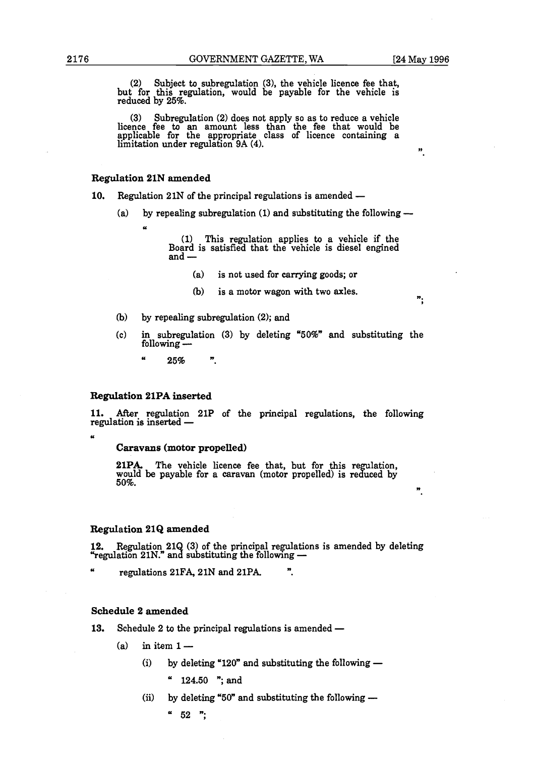**n** 

 $\ddot{\cdot}$ 

(2) Subject to subregulation (3), the vehicle licence fee that, but for this regulation, would be payable for the vehicle is reduced by 25%.

(3) Subregulation (2) does not apply so as to reduce a vehicle licence fee to an amount less than the fee that would be applicable for the appropriate class of licence containing a limitation under regulation **9A** (4).

#### Regulation **21N** amended

"

- 10. Regulation 21N of the principal regulations is amended -
	- (a) by repealing subregulation (1) and substituting the following  $-$

(1) This regulation applies to a vehicle if the Board is satisfied that the vehicle is diesel engined and -

- (a) is not used for carrying goods; or
- (b) is a motor wagon with two axles.
- (b) by repealing subregulation (2); and
- (C) in subregulation (3) by deleting "50%" and substituting the by repeating<br>in subregulatifollowing ---
	- $\alpha$ 25% ".

#### Regulation **21PA** inserted

**11.** After regulation 21P of the principal regulations, the following regulation is inserted —

 $\overline{a}$ 

#### Caravans (motor propelled)

**21PA.** The vehicle licence fee that, but for this regulation, would be payable for a caravan (motor propelled) is reduced by 50%.

#### Regulation **21Q** amended

**12.** Regulation 21Q (3) of the principal regulations is amended by deleting "regulation 21N." and substituting the following -

" regulations 21F& 21N and 21PA

#### Schedule **2** amended

**13.** Schedule 2 to the principal regulations is amended -

- $(a)$  in item  $1-$ 
	- (i) by deleting "120" and substituting the following  $-$

124.50 "; and

(ii) by deleting "50" and substituting the following  $-$ 

 $52$  ":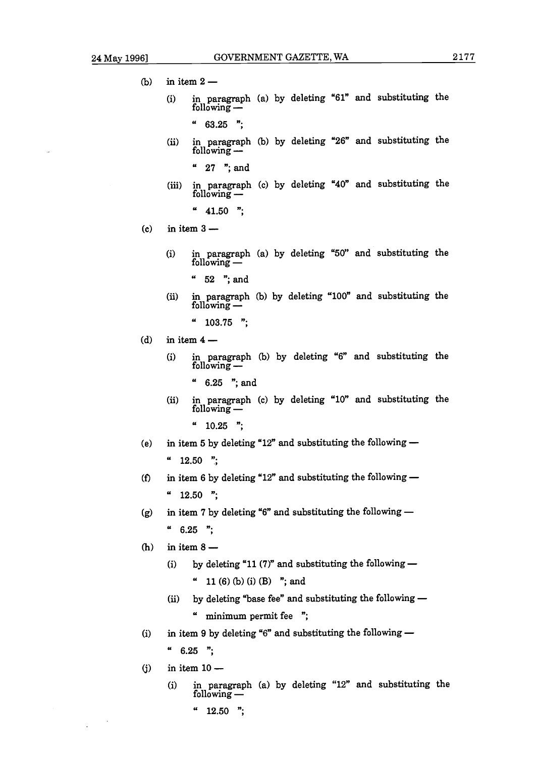- $(b)$ in item  $2$ 
	- i) in paragraph (a) by deleting "61" and substituting the r 2 —<br>n paragraph<br>ollowing —

 $"$  63.25 ":

(ii) in paragraph (b) by deleting "26" and substituting the oo.20<br>n paragraph<br>ollowing --

" 27 "; and

**(iii)** in paragraph (c) by deleting "40" and substituting the read<br>n paragraph<br>ollowing -

 $" 41.50"$ 

- in item  $3 (c)$ 
	- i) in paragraph (a) by deleting "50" and substituting the n paragraph<br>ollowing —
		- " 52 "; and
	- (ii) in paragraph (b) by deleting "100" and substituting the oz , and<br>in paragraph<br>following —

 $"$  103.75 ";

(d) in item 
$$
4 -
$$

i) in paragraph (b) by deleting " $6"$  and substituting the \* \*<br>in paragraph<br>following <del>--</del>

" 6.25 "; and

- (ii) in paragraph (c) by deleting "10" and substituting the o.20 , and<br>in paragraph<br>following —
	- $" 10.25"$
- in item 5 by deleting "12" and substituting the following  $(e)$  $"12.50"$
- $\hspace{0.1cm}$  12.50  $\hspace{0.1cm}$  ";<br>in item 6 by deleting "12" and substituting the following  $(f)$  $"$  12.50 ":
- $'$  12.50 ";<br>in item 7 by deleting "6" and substituting the following  $(g)$  $"$  6.25 ";
- $(h)$ in item  $8-$ 
	- (i) by deleting "11 (7)" and substituting the following  $-$ " 11 (6) (b) (i) **(B)** "; and
	- (ii) by deleting "base fee" and substituting the following  $-$ " minimum permit fee ";
- in item 9 by deleting "6" and substituting the following  $(i)$ 
	- $" 6.25"$
- in item  $10 (i)$

 $\ddot{\phantom{1}}$ 

(i) in paragraph (a) by deleting "12" and substituting the n 10 <del>--</del><br>in paragraph<br>following --

 $"12.50";$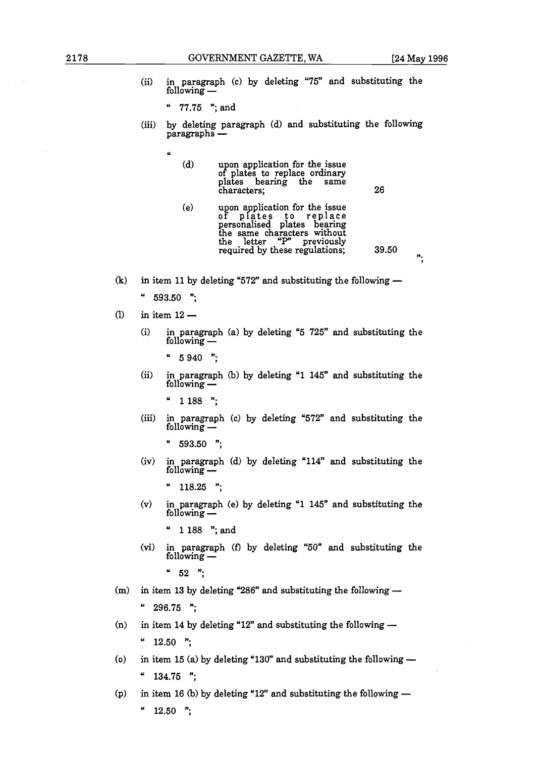(ii) in paragraph (c) by deleting **"75"** and substituting the n paragraph<br>ollowing —

" **77.75** "; and

(iii) by deleting paragraph (d) and substituting the following paragraphs  $-$ 

| (d) | upon application for the issue<br>of plates to replace ordinary<br>plates bearing the same<br>characters; | 26 |
|-----|-----------------------------------------------------------------------------------------------------------|----|
|     |                                                                                                           |    |

- (e) upon application for the issue of plates to replace<br>personalised plates bearing the letter **"P'** previously required by these regulations; **39.50**
- in item 11 by deleting "572" and substituting the following  $\mathbf{r}$ 
	- $"$  593.50  $"$ ;<br>in item 12 —

 $\boldsymbol{\mu}$ 

- $(1)$ 
	- (i) in paragraph (a) by deleting **"5 725"** and substituting the n 12 –<br>in paragraph (<br>collowing —
		-
	- (ii) in paragraph (b) by deleting **"1 145"** and substituting the g 940<br>in paragraph (<br>collowing —
		-
	- <sup>"</sup> 1 188 ";<br>(iii) in paragraph (c) by deleting "572" and substituting the following
		-
	- (iv) in paragraph (d) by deleting **"114"** and substituting the obo.oo<br>in paragraph<br>following —

- **(v)** in paragraph (e) by deleting **"1 145"** and substituting the rio.25<br>in paragraph (<br>following --
	- " **1 188** "; and
- **(vi)** in paragraph **(f)** by deleting **"50"** and substituting the r 100 ; an<br>in paragraph<br>following —
	-
- <sup>4</sup> 52 ";<br>(m) in item 13 by deleting "286" and substituting the following -in item **14** by deleting **"12"** and substituting the following -
- $(n)$ in item **15** (a) by deleting **"130"** and substituting the following -
- $(o)$  $i$  134.75  $i$ ;<br>in item 16 (b) by deleting "12" and substituting the following  $-$
- $(p)$  $\boldsymbol{\mu}$  $12.50$  ";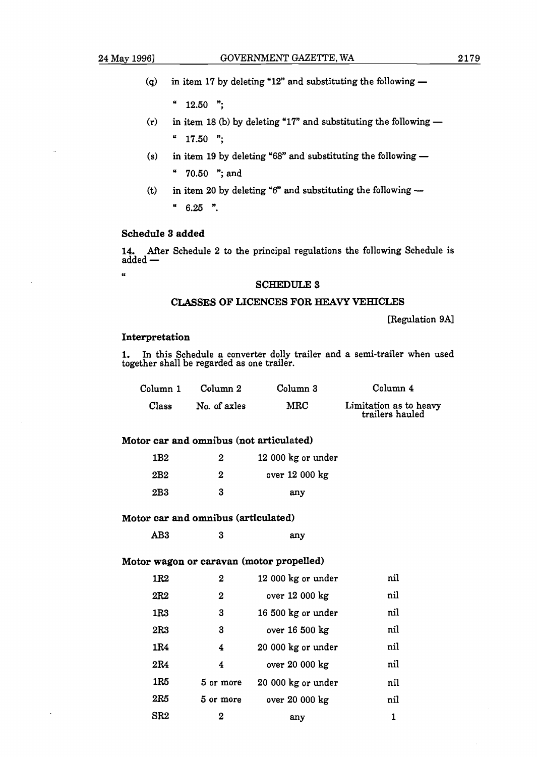.<br>"

 $"12.50"$ ;

- $(r)$  in item 18 (b) by deleting "17" and substituting the following  $" 17.50"$
- (s) in item 19 by deleting "68" and substituting the following  $-$ "  $70.50$  "; and
- (t) in item 20 by deleting "6" and substituting the following  $"$  6.25 ".

#### **Schedule 3 added**

**14.** After Schedule 2 to the principal regulations the following Schedule is sencement<br>14. After<br>added -

#### **SCHEDULE 3**

#### **CLASSES OF LICENCES FOR HEAVY VEHICLES**

[Regulation **9Al** 

#### **Interpretation**

**1.** In this Schedule a converter dolly trailer and a semi-trailer when used together shall be regarded as one trailer.

| Column 1 | Column 2     | Column 3 | Column 4                                  |
|----------|--------------|----------|-------------------------------------------|
| Class    | No. of axles | MRC      | Limitation as to heavy<br>trailers hauled |

**Motor car and omnibus (not articulated)** 

| 1B <sub>2</sub> | 2 | 12 000 kg or under |
|-----------------|---|--------------------|
| 2B <sub>2</sub> | 2 | over 12 000 kg     |
| 2B3             | 3 | any                |

#### **Motor car and omnibus (articulated)**

AB3 3 any

#### **Motor wagon or caravan (motor propelled)**

| 1R <sub>2</sub> | 2         | 12 000 kg or under | nil |
|-----------------|-----------|--------------------|-----|
| 2R2             | 2         | over 12 000 kg     | nil |
| 1R3             | 3         | 16 500 kg or under | nil |
| 2R3             | 3         | over 16 500 kg     | nil |
| 1R4             | 4         | 20 000 kg or under | nil |
| 2R4             | 4         | over 20 000 kg     | nil |
| 1R5             | 5 or more | 20 000 kg or under | nil |
| 2R5             | 5 or more | over 20 000 kg     | nil |
| SR <sub>2</sub> | 2         | any                | 1   |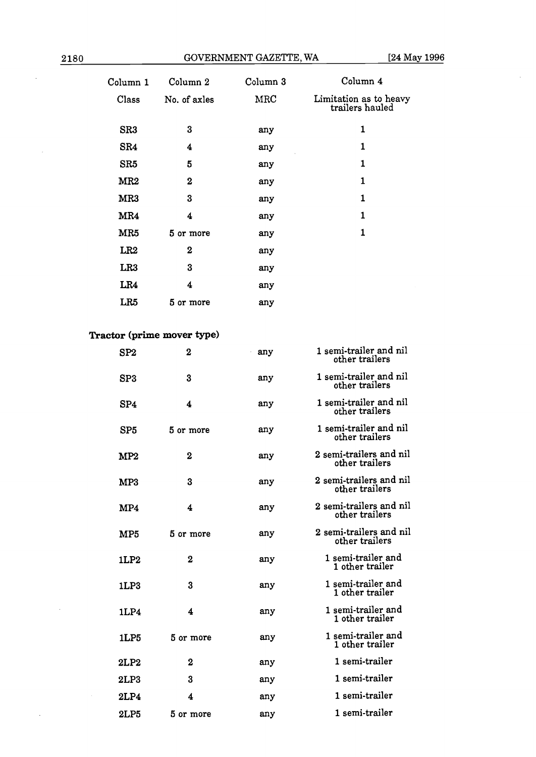$\bar{z}$ 

| Column 1                 | Column 2         | Column <sub>3</sub> | Column 4                                  |
|--------------------------|------------------|---------------------|-------------------------------------------|
| Class                    | No. of axles     | MRC                 | Limitation as to heavy<br>trailers hauled |
| SR3                      | 3                | any                 | 1                                         |
| SR4                      | 4                | any                 | $\mathbf{1}$                              |
| SR <sub>5</sub>          | 5                | any                 | 1                                         |
| MR <sub>2</sub>          | $\boldsymbol{2}$ | any                 | 1                                         |
| MR3                      | 3                | any                 | 1                                         |
| MR4                      | 4                | any                 | $\mathbf{1}$                              |
| MR5                      | 5 or more        | any                 | 1                                         |
| LR <sub>2</sub>          | $\mathbf 2$      | any                 |                                           |
| LR <sub>3</sub>          | 3                | any                 |                                           |
| LR4                      | 4                | any                 |                                           |
| LR5                      | 5 or more        | any                 |                                           |
|                          |                  |                     |                                           |
| aatan (nulma mawan tuna) |                  |                     |                                           |

# **Tractor (prime mover type)**

| SP <sub>2</sub>  | $\bf{2}$  | any | 1 semi-trailer and nil<br>other trailers  |
|------------------|-----------|-----|-------------------------------------------|
| SP3              | 3         | any | 1 semi-trailer and nil<br>other trailers  |
| SP <sub>4</sub>  | 4         | any | 1 semi-trailer and nil<br>other trailers  |
| SP <sub>5</sub>  | 5 or more | any | 1 semi-trailer and nil<br>other trailers  |
| MP2              | $\bf{2}$  | any | 2 semi-trailers and nil<br>other trailers |
| MP3              | 3         | any | 2 semi-trailers and nil<br>other trailers |
| MP4              | 4         | any | 2 semi-trailers and nil<br>other trailers |
| MP5              | 5 or more | any | 2 semi-trailers and nil<br>other trailers |
| 1LP <sub>2</sub> | $\bf{2}$  | any | 1 semi-trailer and<br>1 other trailer     |
| 1LP3             | 3         | any | 1 semi-trailer and<br>1 other trailer     |
| 1LP4             | 4         | any | 1 semi-trailer and<br>1 other trailer     |
| 1LP5             | 5 or more | any | 1 semi-trailer and<br>1 other trailer     |
| 2LP <sub>2</sub> | $\bf{2}$  | any | 1 semi-trailer                            |
| 2LP3             | 3         | any | 1 semi-trailer                            |
| 2LP4             | 4         | any | 1 semi-trailer                            |
| 2LP5             | 5 or more | any | 1 semi-trailer                            |

 $\bar{z}$ 

 $\hat{\boldsymbol{\beta}}$ 

 $\hat{\mathcal{A}}$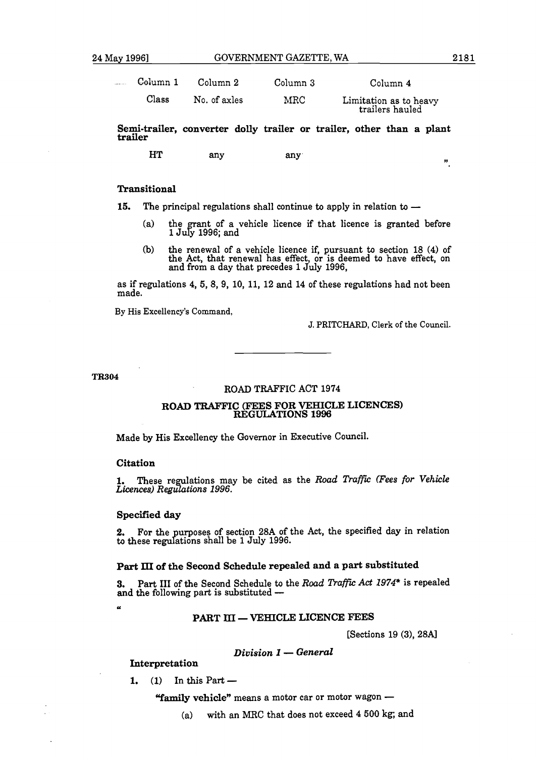| Column 1 | Column 2     | Column 3   | Column <sub>4</sub>                       |
|----------|--------------|------------|-------------------------------------------|
| Class    | No. of axles | $\rm{MRC}$ | Limitation as to heavy<br>trailers hauled |

**Semi-trailer, converter dolly trailer or trailer, other than a plant trailer** 

**HT** any any

#### **Transitional**

- **15.** The principal regulations shall continue to apply in relation to -
	- (a) the grant of a vehicle licence if that licence is granted before 1 July 1996; and
	- **(b)** the renewal of a vehicle licence if, pursuant to section 18 (4) of the Act, that renewal has effect, or is deemed to have effect, on and from a day that precedes 1 July 1996,

as if regulations 4, 5, 8, 9, 10, 11, 12 and 14 of these regulations had not been made.

By His Excellency's Command,

J. PRITCHARD, Clerk of the Council.

#### **TR304**

#### ROAD TRAFFIC ACT 1974

# **ROAD TRAFFIC (FEES FOR VEHICLE LICENCES) REGULATIONS 1996**

Made by His Excellency the Governor in Executive Council.

#### **Citation**

 $\alpha$ 

1. These regulations may be cited as the *Road Traffic (Fees for Vehicle Licences*) Regulations 1996.

#### **Specified day**

2. For the purposes of section 28A of the Act, the specified day in relation to these regulations shall be 1 July 1996.

#### **Part** III **of the Second Schedule repealed and a part substituted**

**3.** Part **III** of the Second Schedule to the *Road Traffic Act 1974*\* is repealed and the following part is substituted -

#### PART III - VEHICLE LICENCE FEES

[Sections 19 (3), 28A]

#### *Division 1* - *General*

**Interpretation**<br> **1.** (1) In this Part -

(1) In this Part  $-$ <br> **"family vehicle"** means a motor car or motor wagon  $-$ 

(a) with an MRC that does not exceed 4 500 kg; and

 $\mathbf{r}$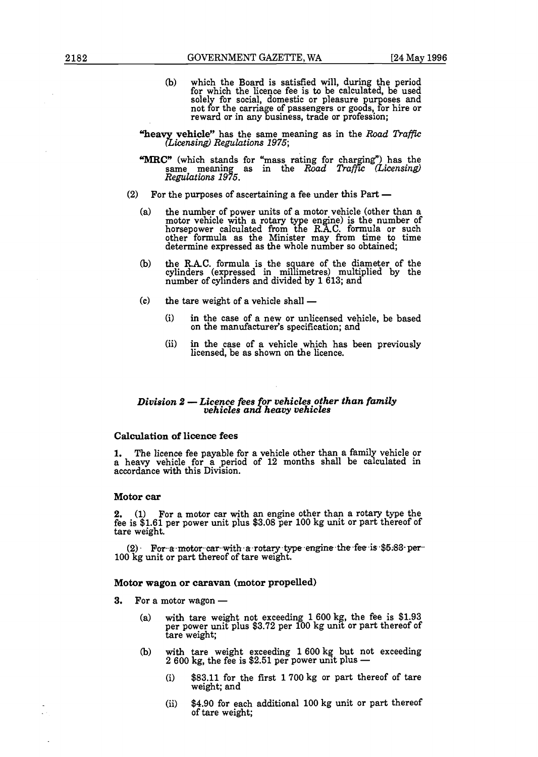- (b) which the Board is satisfied will, during the period for which the licence fee is to be calculated, be used solely for social, domestic or pleasure purposes and not for the carriage of passengers or goods, for hire or reward or in any business, trade or profession;
- **vehicle"** has the same meaning as in the *Road* **TrafFc**  *Regulations* 1975;
- **'MRC"** (which stands for "mass rating for charging") has the same meaning as in the *Road Traffic (Licensing)*<br> *Regulations 1975.*<br>
(2) For the purposes of ascertaining a fee under this Part —
- - (a) the number of power units of a motor vehicle (other than a motor vehicle with a rotary type engine) is the number of horsepower calculated from the R.A.C. formula or such<br>other formula as the Minister may from time to time determine expressed as the whole number so obtained;
	- the R.A.C. formula is the square of the diameter of the (b) cylinders (expressed in millimetres) multiplied by the number of cylinders and divided by 1 613; and the tare weight of a vehicle shall —
	- $(c)$ 
		- (i) in the case of a new or unlicensed vehicle, be based on the manufacturer's specification; and
		- (ii) in the case of a vehicle which has been previously licensed, be as shown on the licence.

# *Division 2 - Licence fees for vehicles other than family vehicles and heavy vehicles*

#### **Calculation of licence fees**

**1.** The licence fee payable for a vehicle other than a family vehicle or accordance with this Division. a heavy vehicle for a period of 12 months shall be calculated in

#### **Motor car**

**2.** (1) For a motor car with an engine other than a rotary type the fee is \$1.61 per power unit plus \$3.08 per 100 kg unit or part thereof of tare weight.

(2). **For-a-motor-car-with a rotary type engine the fee is \$5.83 per-** 100 kg unit or part thereof of tare weight.

# **Motor wagon or caravan (motor propelled)<br>3. For a motor wagon —**

- - (a) with tare weight not exceeding  $1600 \text{ kg}$ , the fee is \$1.93 per power unit plus \$3.72 per 100 kg unit or part thereof of tare weight;
	- (b) with tare weight exceeding 1600 kg but not exceeding  $2\,600$  kg, the fee is \$2.51 per power unit plus  $-$ 
		- (i) \$83.11 for the first 1700 kg or part thereof of tare weight; and
		- (ii) \$4.90 for each additional 100 kg unit or part thereof of tare weight;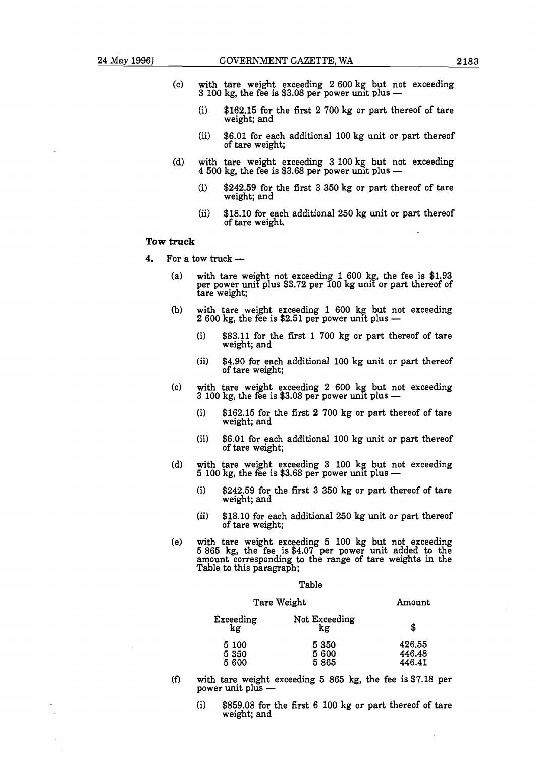- 
- (c) with tare weight exceeding **2 600** kg but not exceeding **3 100** kg, the fee is **\$3.08** per power unit plus
	- (i) **\$162.15** for the first **2 700** kg or part thereof of tare weight; and
	- (ii) **\$6.01** for each additional **100** kg unit or part thereof of tare weight;
- (d) with tare weight exceeding **3 100** kg but not exceeding 4 **500** kg, the fee is **\$3.68** per power unit plus
	- (i) **\$242.59** for the first **3 350** kg or part thereof of tare weight; and
	- (ii) **\$18.10** for each additional **250** kg unit or part thereof of tare weight.

#### **Tow truck**

- 4. For a tow truck -
	- with tare weight not exceeding 1 600 kg, the fee is \$1.93 per power unit plus \$3.72 per 100 kg unit or part thereof of<br>tare weight;  $(a)$
	- with tare weight exceeding **1 600** kg but not exceeding 2 **600** kg, the fee is **\$2.51** per power unit plus  $(b)$ 
		- (i) **\$83.11** for the first **1 700** kg or part thereof of tare weight; and
		- (ii) **\$4.90** for each additional **100** kg unit or part thereof of tare weight;
	- $(c)$ with tare weight exceeding 2 600 kg but not exceeding 3 100 kg, the fee is \$3.08 per power unit plus -
		- (i) **\$162.15** for the first 2 **700** kg or part thereof of tare weight; and
		- (ii) **\$6.01** for each additional **100** kg unit or part thereof of tare weight;
	- with tare weight exceeding **3 100** kg but not exceeding **5 100** kg, the fee is **\$3.68** per power unlt plus  $(d)$ 
		- (i) **\$242.59** for the first **3 350** kg or part thereof of tare weight; and
		- (ii) **\$18.10** for each additional **250** kg unit or part thereof of tare weight;
	- with tare weight exceeding **5 100** kg but not exceeding  $(e)$ **5 865** kg, the fee is **\$4.07** per power unit added to the amount corresponding to the range of tare weights in the Table to this paragraph;

#### Table

# Tare Weight **Amount** Exceeding Not Exceeding

| kg             | kg            | S                |
|----------------|---------------|------------------|
| 5 100<br>5 350 | 5 350<br>5600 | 426.55<br>446.48 |
| 5600           | 5865          | 446.41           |

- power<br>with tare weight exc<br>power unit plus - $(f)$ with tare weight exceeding 5 **865** kg, the fee is **\$7.18** per
	- (i) **\$859.08** for the first **6 100** kg or part thereof of tare weight; and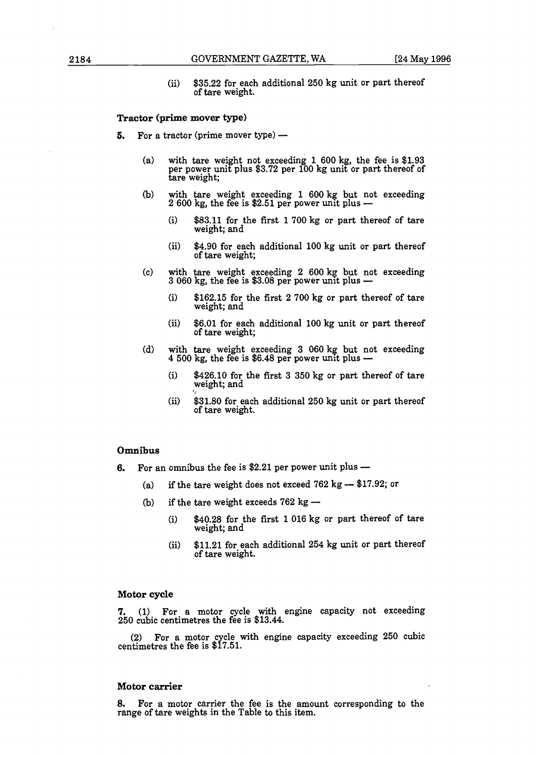(ii) **\$35.22** for each additional **250** kg unit or part thereof of tare weight.

#### **Tractor (prime mover type)**

- **5.** For a tractor (prime mover type)
	- (a) with tare weight not exceeding **1 600** kg, the fee is **\$1.93**  per power unit plus **\$3.72** per **100** kg unit or part thereof of tare weight;
	- (b) with tare weight exceeding **1 600** kg but not exceeding **2 600** kg, the fee is **\$2.51** per power unit plus
		- (i) **\$83.11** for the first **1700** kg or part thereof of tare weight; and
		- (ii) **\$4.90** for each additional **100** kg unit or part thereof of tare weight;
	- (C) with tare weight exceeding **2 600** kg but not exceeding **3 060** kg, the fee is **\$3.08** per power unit plus
		- (i) **\$162.15** for the first **2 700** kg or part thereof of tare weight; and
		- (ii) **\$6.01** for each additional **100** kg unit or part thereof of tare weight;
	- (d) with tare weight exceeding **3 060** kg but not exceeding **4 500** kg, the fee is **\$6.48** per power unit plus
		- (i) **\$426.10** for the first **3 350** kg or part thereof of tare weight; and
		- (ii) **\$31.80** for each additional **250** kg unit or part thereof of tare weight.

#### **Omnibus**

- **0mnibus**<br>**6.** For an omnibus the fee is \$2.21 per power unit plus
	- **(a)** if the tare weight does not exceed **762** kg **\$17.92;** or (a) if the tare weight does not exceed  $762 \text{ kg} \rightarrow 17.92$ ; or<br>(b) if the tare weight exceeds  $762 \text{ kg} \rightarrow$
	- - (i) **\$40.28** for the first **1 016** kg or part thereof of tare weight; and
		- (ii) **\$11.21** for each additional **254** kg unit or part thereof of tare weight.

#### **Motor cycle**

7. **(1)** For a motor cycle with engine capacity not exceeding **250** cubic centimetres the fee is **\$13.44.** 

**(2)** For a motor cycle with engine capacity exceeding **250** cubic centimetres the fee is **\$17.51.** 

#### **Motor carrier**

**8.** For a motor carrier the fee is the amount corresponding to the range of tare weights in the Table to this item.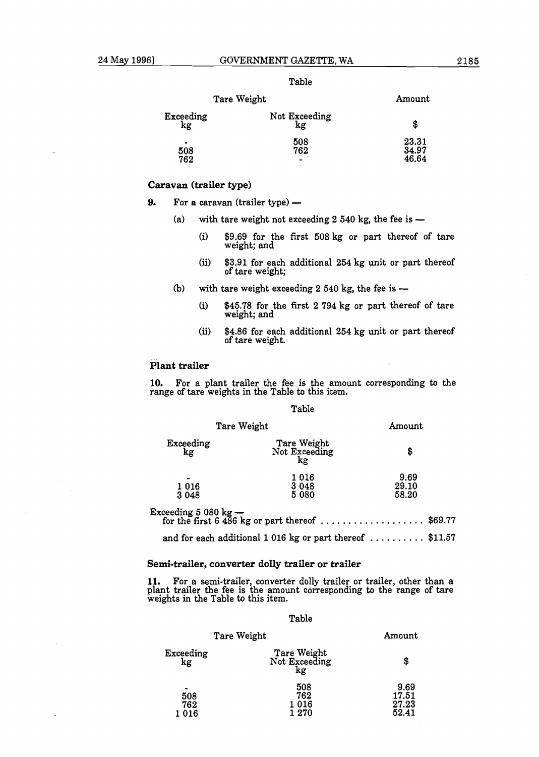|--|--|

| Tare Weight                  |                     | Amount                  |
|------------------------------|---------------------|-------------------------|
| Exceeding<br>kg              | Not Exceeding<br>kg | \$                      |
| $\blacksquare$<br>508<br>762 | 508<br>762          | 23.31<br>34.97<br>46.64 |

#### **Caravan (trailer type)**

**9.** For a caravan (trailer type) —

- (a) with tare weight not exceeding  $2\,540$  kg, the fee is  $-$ 
	- (i) **\$9.69** for the first **508** kg or part thereof of tare weight; and
	- (ii) **\$3.91** for each additional **254** kg unit or part thereof of tare weight;
- **(b)** with tare weight exceeding **2 540** kg, the fee is
	- (i) **\$45.78** for the first **2 794** kg or part thereof of tare weight; and
	- (ii) **\$4.86** for each additional **254** kg unit or part thereof of tare welght.

#### **plant trailer**

**10.** For a plant trailer the fee is the amount corresponding to the range of tare weights in the Table to this item.

Table

| Tare Weight            |                                                                | Amount                 |  |
|------------------------|----------------------------------------------------------------|------------------------|--|
| $\frac{Exceeding}{kg}$ | Tare Weight<br>Not Exceeding<br>kg                             | \$                     |  |
| 1 0 1 6<br>3 0 4 8     | 1016<br>3 0 4 8<br>5 0 8 0                                     | 9.69<br>29.10<br>58.20 |  |
|                        | Exceeding 5 080 kg —<br>for the first 6 486 kg or part thereof | \$69.77                |  |

and for each additional **1 016** kg or part thereof . . . . . . . . . . **\$11.57** 

#### **Semi-trailer, converter dolly trailer or trailer**

**11.** For a semi-trailer, converter dolly trailer or trailer, other than a plant trailer the fee is the amount corresponding to the range of tare weights in the Table to this item.

#### Table

|                                         | Tare Weight                        | Amount                          |
|-----------------------------------------|------------------------------------|---------------------------------|
| Exceeding<br>kg                         | Tare Weight<br>Not Exceeding<br>kg | \$                              |
| $\blacksquare$<br>508<br>762<br>1 0 1 6 | 508<br>762<br>1 016<br>1 270       | 9.69<br>17.51<br>27.23<br>52.41 |

#### Table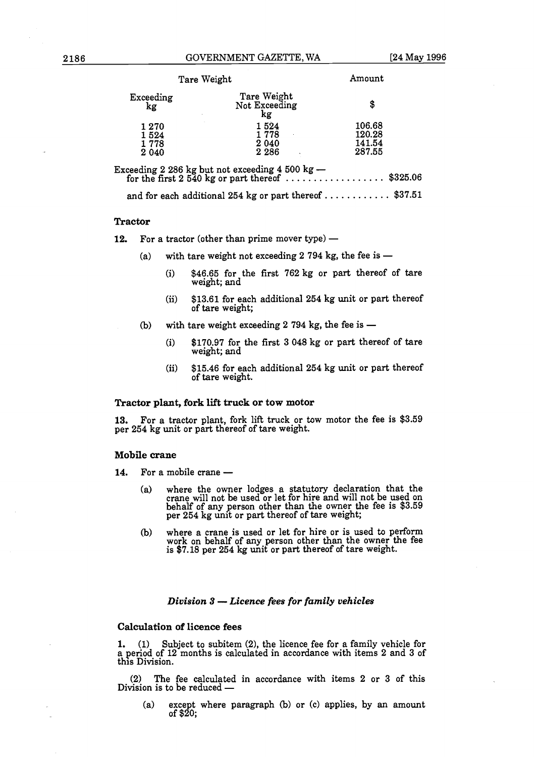|                 | Tare Weight                                                                                                                    | Amount |
|-----------------|--------------------------------------------------------------------------------------------------------------------------------|--------|
| Exceeding<br>kg | Tare Weight<br>Not Exceeding<br>kg                                                                                             | \$     |
| 1270            | 1524                                                                                                                           | 106.68 |
| 1524            | 1 778                                                                                                                          | 120.28 |
| 1778            | 2 0 4 0                                                                                                                        | 141.54 |
| 2 0 4 0         | 2 2 8 6                                                                                                                        | 287.55 |
|                 | Exceeding 2 286 kg but not exceeding 4 500 kg —<br>for the first 2 540 kg or part thereof $\dots\dots\dots\dots\dots$ \$325.06 |        |
|                 | and for each additional 254 kg or part thereof  \$37.51                                                                        |        |

#### **Tractor**

**12.** For a tractor (other than prime mover type) —

- (a) with tare weight not exceeding  $2794$  kg, the fee is -
	- (i) \$46.65 for the first 762 kg or part thereof of tare weight; and
	- (ii) \$13.61 for each additional 254 kg unit or part thereof of tare weight;
- (b) with tare weight exceeding  $2$  794 kg, the fee is  $-$ 
	- (i) \$170.97 for the first 3 048 kg or part thereof of tare weight; and
	- (ii)  $$15.46$  for each additional 254 kg unit or part thereof of tare welght.

#### **Tractor plant, fork lift truck or tow motor**

**13.** For a tractor plant, fork lift truck or tow motor the fee is \$3.59 per 254 kg unit or part thereof of tare weight.

#### **Mobile crane**

- 14. For a mobile crane -
	- (a) where the owner lodges a statutory declaration that the crane will not be used or let for hire and will not be used on behalf of any person other than the owner the fee is \$3.59 per 254 kg unit or part thereof of tare weight;
	- (b) where a crane is used or let for hire or is used to perform work on behalf of any person other than the owner the fee is \$7.18 per 254 kg unit or part thereof of tare weight.

#### *Division 3* - *Licence fees for family vehicles*

#### **Calculation of licence fees**

**1.** (1) Subject to subitem (2), the licence fee for a family vehicle for a period of 12 months is calculated in accordance with items 2 and 3 of this Division.

(2) The fee calculated in accordance with items 2 or 3 of this Division is to be reduced -

(a) except where paragraph (b) or (c) applies, by an amount of \$20;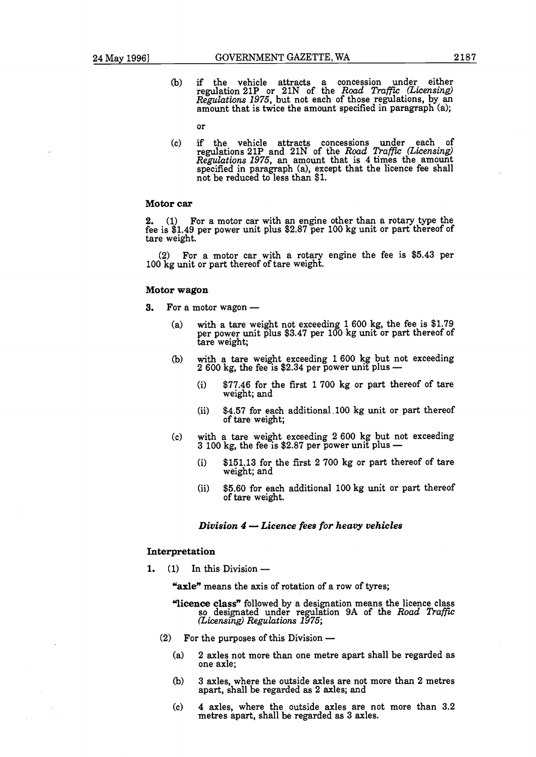(b) if the vehicle attracts a concession under either regulation **21P** or **21N** of the *Road Traffu: (Licensing) Regulations* 1975, but not each of those regulations, by an amount that is twice the amount specified in paragraph (a);

or

(c) if the vehicle attracts concessions under each of regulations **21P** and **21N** of the *Road Traffu: (Licensing) Regulations* 1975, an amount that is **4** times the amount specified in paragraph (a), except that the licence fee shall not be reduced to less than **\$1.** 

#### **Motor car**

**2. (1)** For a motor car with an engine other than a rotary type the fee is **\$1.49** per power unit plus **\$2.87** per **100** kg unit or part thereof of tare weight.

**(2)** For a motor car with a rotary engine the fee is **\$5.43** per **100** kg unit or part thereof of tare weight.

#### **Motor wagon**

**3.** For a motor wagon —

- (a) with a tare weight not exceeding **1 600** kg, the fee is **\$1.79**  per power unit plus **\$3.47** per **100** kg unit or part thereof of tare weight;
- (b) with a tare weight exceeding **1600** kg but not exceeding **2 600** kg, the fee is **\$2.34** per power unit plus
	- (i) **\$77.46** for the first **1700** kg or part thereof of tare weight; and
	- (ii) **\$4.57** for each additional **.l00** kg unit or part thereof of tare weight;
- **(c)** with a tare weight exceeding **2 600** kg but not exceeding **3 100** kg, the fee is **\$2.87** per power unit plus -
	- (i) **\$151.13** for the first **2 700** kg or part thereof of tare weight; and
	- (ii) **\$5.60** for each additional **100** kg unit or part thereof of tare weight.

#### *Division 4* - *Licence fees for heavy vehicles*

#### **Interpretation**

1.  $(1)$  In this Division  $-$ 

**"axle"** means the axis of rotation of a row of tyres;

- **'licence class"** followed by a designation means the licence class so designated under regulation 9A of the *Road Traffic* <sup>2</sup>(*Licensing*) *Regulations 1975*;<br>
(2) For the purposes of this Division --
- - (a) **2** axles not more than one metre apart shall be regarded as one axle;
	- (b) **3** axles, where the outside axles are not more than **2** metres apart, shall be regarded as **2** axles; and
	- (C) 4 axles, where the dutside axles are not more than **3.2**  metres apart, shall be regarded as **3** axles.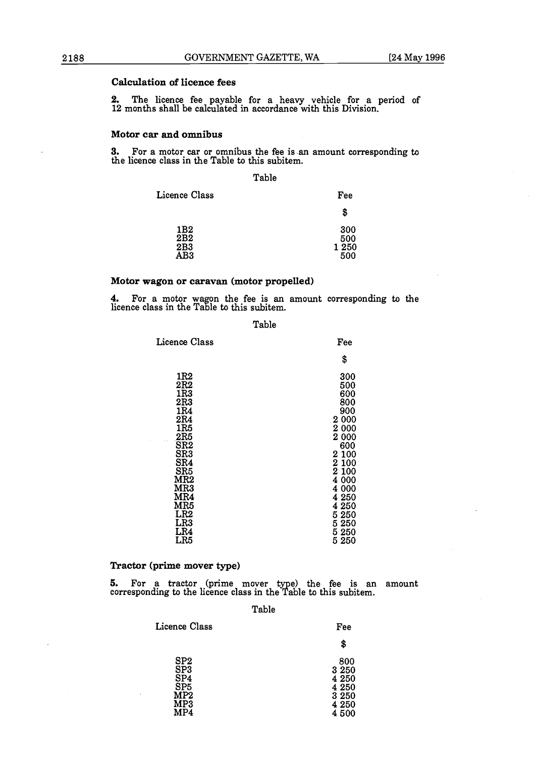## **Calculation of licence fees**

2. The licence fee payable for a heavy vehicle for a period of **12** months shall be calculated in accordance with this Division.

#### **Motor car and omnibus**

**3.** For **a** motor **car** or omnibus the fee is **.an** amount corresponding to the licence class in the Table to this subitem.

#### Table

| Licence Class            | Fee                        |
|--------------------------|----------------------------|
|                          | \$                         |
| 1B2<br>2B2<br>2B3<br>AB3 | 300<br>500<br>1 250<br>500 |

#### **Motor wagon or caravan (motor propelled)**

4. For a motor wagon the fee is an amount corresponding to the licence class in the  $\operatorname{\mathsf{Table}}$  to this subitem.

#### Table

| Licence Class                                                                                                                                                                                | Fee                                                                                                                                                                |
|----------------------------------------------------------------------------------------------------------------------------------------------------------------------------------------------|--------------------------------------------------------------------------------------------------------------------------------------------------------------------|
|                                                                                                                                                                                              | \$                                                                                                                                                                 |
| 1R <sub>2</sub><br>2R2<br>1R3<br>2R3<br>1R4<br>2R4<br>1R5<br>2R5<br>SR <sub>2</sub><br>SR3<br>SR4<br>SR5<br>MR2<br>MR3<br>$_{\rm MR4}$<br><b>MR5</b><br>LR2<br>LR3<br>LR4<br>LR <sub>5</sub> | 300<br>500<br>600<br>800<br>900<br>2 000<br>2 000<br>2 000<br>600<br>2 100<br>2 100<br>2 100<br>4 000<br>4 000<br>4 250<br>4 250<br>5250<br>5250<br>5 250<br>5 250 |

#### **Tractor (prime mover type)**

**5.** For a tractor (prime mover type) the fee is an amount corresponding to the licence class in the Table to this subitem.

#### Table

| Licence Class                                             | Fee                                                      |
|-----------------------------------------------------------|----------------------------------------------------------|
|                                                           | \$                                                       |
| SP2<br>SP <sub>3</sub><br>SP4<br>SP5<br>MP2<br>MP3<br>MP4 | 800<br>3 250<br>4 250<br>4 250<br>3 250<br>4 250<br>4500 |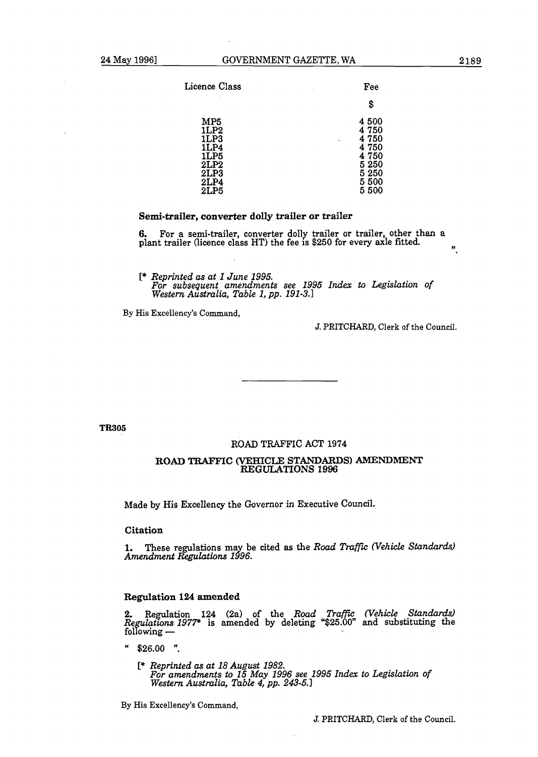| Licence Class                                                       | Fee                                                                           |
|---------------------------------------------------------------------|-------------------------------------------------------------------------------|
|                                                                     | \$                                                                            |
| MP5<br>1LP2<br>1LP3<br>1LP4<br>1LP5<br>2LP2<br>2LP3<br>2LP4<br>2LP5 | 4 500<br>4 750<br>4 750<br>4 750<br>4 750<br>5 250<br>5 250<br>5 500<br>5 500 |

#### Semi-trailer, converter dolly trailer or trailer

**6.** For a semi-trailer, converter dolly trailer or trailer, other than a plant trailer (licence class HT) the fee is \$250 for every axle fitted. **9,** 

[\* *Reprinted as at* **l** *June* **1995.**  *For subsequent amendments see* **1995** *Index to Legislation of Western Australia, Table* **l,** *pp.* **191-3.1** 

By His Excellency's Command,

J. PRITCHARD, Clerk of the Council.

**TR305** 

#### ROAD TRAFFIC **ACT** 1974

#### ROAD TRAFFIC **(VEHICLE** STANDARDS) **AMENDMENT REGULATIONS 1996**

Made by His Excellency the Governor in Executive Council.

Citation

**1.** These regulations may be cited as the *Road Traffic (Vehicle Standards)* Amendment Regulations **1996**.

#### Regulation **124** amended

**2.** Regulation 124 (2a) of the *Road Traffic (Vehicle Standards)* Regulations **1977\*** is amended by deleting "\$25.00" and substituting the following —

 $$26.00$  ".

[\* *Reprinted as at* **18** *August* **1982.**  *For amendments to* **15** *May* **1996** *see* **1995** *Index to Legislation of Western AustmZia, Table 4, pp. 243-5.1* 

By His Excellency's Command,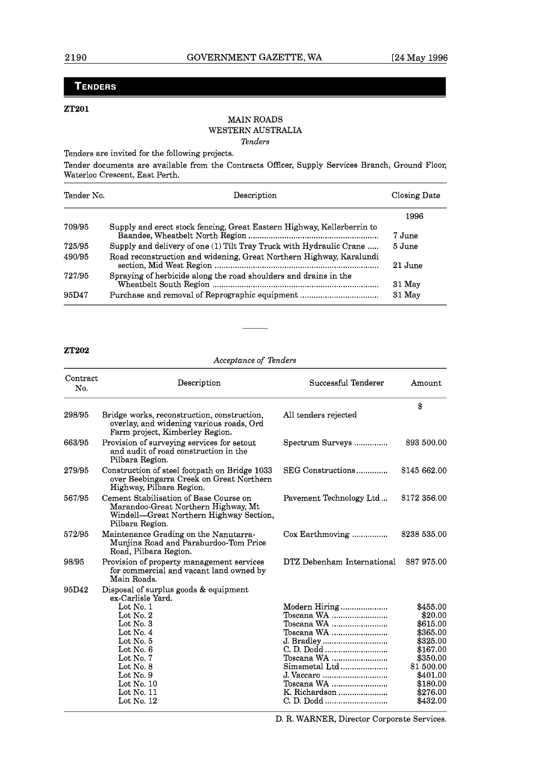# **TENDERS**

#### **ZT201**

#### MAIN ROADS WESTERN AUSTRALIA *Tenders*

Tenders are invited for the following projects.

Tender documents are available from the Contracts Officer, Supply Services Branch, Ground Floor, Waterloo Crescent, East Perth.

| Tender No. | Description                                                            | Closing Date       |
|------------|------------------------------------------------------------------------|--------------------|
|            |                                                                        | 1996               |
| 709/95     | Supply and erect stock fencing, Great Eastern Highway, Kellerberrin to | 7 June             |
| 725/95     | Supply and delivery of one (1) Tilt Tray Truck with Hydraulic Crane    | $5\,\mathrm{June}$ |
| 490/95     | Road reconstruction and widening, Great Northern Highway, Karalundi    | 21 June            |
| 727/95     | Spraying of herbicide along the road shoulders and drains in the       | $31$ May           |
| 95D47      | Purchase and removal of Reprographic equipment                         | $31$ May           |

#### **ZT202**

*Acceptance of Tenders* 

| Contract<br>No. | Description                                                                                                                                                                                                                                                                                                  | Successful Tenderer                                                                                                                 | Amount                                                                                                                                        |
|-----------------|--------------------------------------------------------------------------------------------------------------------------------------------------------------------------------------------------------------------------------------------------------------------------------------------------------------|-------------------------------------------------------------------------------------------------------------------------------------|-----------------------------------------------------------------------------------------------------------------------------------------------|
| 298/95          | Bridge works, reconstruction, construction,<br>overlay, and widening various roads, Ord<br>Farm project, Kimberley Region.                                                                                                                                                                                   | All tenders rejected                                                                                                                | \$                                                                                                                                            |
| 663/95          | Provision of surveying services for setout<br>and audit of road construction in the<br>Pilbara Region.                                                                                                                                                                                                       | Spectrum Surveys                                                                                                                    | \$93 500.00                                                                                                                                   |
| 279/95          | Construction of steel footpath on Bridge 1033<br>over Beebingarra Creek on Great Northern<br>Highway, Pilbara Region.                                                                                                                                                                                        | SEG Constructions                                                                                                                   | \$145 662.00                                                                                                                                  |
| 567/95          | Cement Stabilisation of Base Course on<br>Marandoo-Great Northern Highway, Mt<br>Windell—Great Northern Highway Section,<br>Pilbara Region.                                                                                                                                                                  | Pavement Technology Ltd                                                                                                             | \$172 356.00                                                                                                                                  |
| 572/95          | Maintenance Grading on the Nanutarra-<br>Muniina Road and Paraburdoo-Tom Price<br>Road, Pilbara Region.                                                                                                                                                                                                      | Cox Earthmoving                                                                                                                     | \$238 535.00                                                                                                                                  |
| 98/95           | Provision of property management services<br>for commercial and vacant land owned by<br>Main Roads.                                                                                                                                                                                                          | DTZ Debenham International                                                                                                          | \$87 975.00                                                                                                                                   |
| 95D42           | Disposal of surplus goods & equipment<br>ex-Carlisle Yard.<br>Lot $No. 1$<br>$_{\rm Lot}$ No. $2$<br>$\rm Lot$ No. $3$<br>Lot No. $4$<br>$_{\rm Lot}$ No. $5$<br>$_{\rm Lot}$ No. 6<br>$_{\rm Lot}$ No. 7<br>$_{\rm Lot}$ No. $8$<br>Lot No. $9$<br>Lot No. $10$<br>$\rm Lot$ No. $11$<br>$\rm Lot$ No. $12$ | Modern Hiring<br>Toscana WA<br>Toscana WA<br>Toscana WA<br>J. Bradley<br>Toscana WA<br>Simsmetal Ltd<br>Toscana WA<br>K. Richardson | \$455.00<br>\$20.00<br>\$615.00<br>\$365.00<br>\$325.00<br>\$167.00<br>\$350.00<br>\$1 500.00<br>\$401.00<br>\$180.00<br>\$276.00<br>\$432.00 |

D. R. WARNER, Director Corporate Services.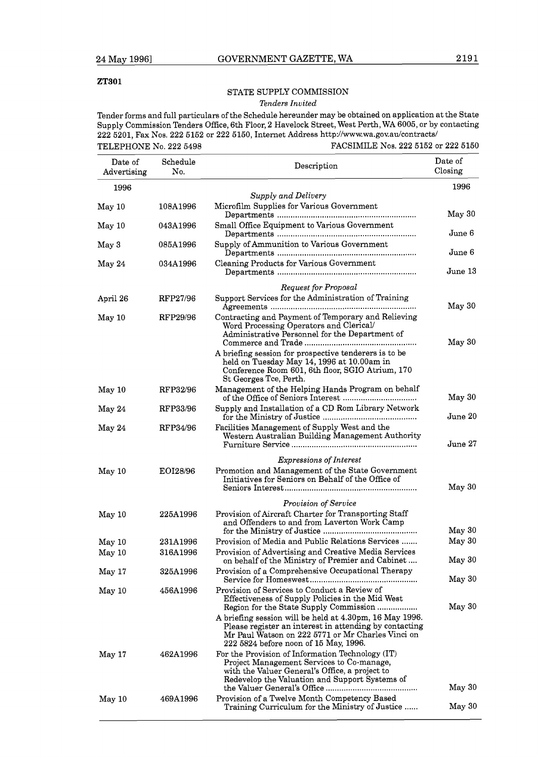#### **ZT301**

## STATE SUPPLY COMMISSION

#### Tenders Invited

Tender forms and full particulars of the Schedule hereunder may be obtained on application at the State Supply Commission Tenders Office, 6th Floor, 2 Havelock Street, West Perth, WA 6005, or by contacting 222 5201, Fax Nos. 222 5152 or 222 5150, Internet Address http://www.wa.gov.aulcontracts/ TELEPHONE No. 222 5498 FACSIMILE Nos. 222 5152 or 222 5150

| Date of<br>Advertising | Schedule<br>No. | Description                                                                                                                                                                                                                                               | Date of<br>Closing |
|------------------------|-----------------|-----------------------------------------------------------------------------------------------------------------------------------------------------------------------------------------------------------------------------------------------------------|--------------------|
| 1996                   |                 |                                                                                                                                                                                                                                                           | 1996               |
|                        |                 | Supply and Delivery                                                                                                                                                                                                                                       |                    |
| May 10                 | 108A1996        | Microfilm Supplies for Various Government                                                                                                                                                                                                                 | May 30             |
| May 10                 | 043A1996        | Small Office Equipment to Various Government                                                                                                                                                                                                              | June 6             |
| May 3                  | 085A1996        | Supply of Ammunition to Various Government                                                                                                                                                                                                                | June 6             |
| May 24                 | 034A1996        | Cleaning Products for Various Government                                                                                                                                                                                                                  | June 13            |
|                        |                 | <b>Request for Proposal</b>                                                                                                                                                                                                                               |                    |
| April 26               | RFP27/96        | Support Services for the Administration of Training                                                                                                                                                                                                       | May 30             |
| May 10                 | RFP29/96        | Contracting and Payment of Temporary and Relieving<br>Word Processing Operators and Clerical/<br>Administrative Personnel for the Department of                                                                                                           | May 30             |
|                        |                 | A briefing session for prospective tenderers is to be<br>held on Tuesday May 14, 1996 at 10.00am in<br>Conference Room 601, 6th floor, SGIO Atrium, 170<br>St Georges Tce, Perth.                                                                         |                    |
| May 10                 | RFP32/96        | Management of the Helping Hands Program on behalf                                                                                                                                                                                                         | May 30             |
| May 24                 | RFP33/96        | Supply and Installation of a CD Rom Library Network                                                                                                                                                                                                       | June 20            |
| May 24                 | RFP34/96        | Facilities Management of Supply West and the<br>Western Australian Building Management Authority                                                                                                                                                          | June 27            |
|                        |                 |                                                                                                                                                                                                                                                           |                    |
| May 10                 | EOI28/96        | <i>Expressions of Interest</i><br>Promotion and Management of the State Government                                                                                                                                                                        |                    |
|                        |                 | Initiatives for Seniors on Behalf of the Office of                                                                                                                                                                                                        | May 30             |
|                        |                 | Provision of Service                                                                                                                                                                                                                                      |                    |
| May 10                 | 225A1996        | Provision of Aircraft Charter for Transporting Staff<br>and Offenders to and from Laverton Work Camp                                                                                                                                                      |                    |
|                        | 231A1996        | Provision of Media and Public Relations Services                                                                                                                                                                                                          | May 30<br>May 30   |
| May 10<br>May 10       | 316A1996        | Provision of Advertising and Creative Media Services<br>on behalf of the Ministry of Premier and Cabinet                                                                                                                                                  | May 30             |
| May 17                 | 325A1996        | Provision of a Comprehensive Occupational Therapy                                                                                                                                                                                                         | May 30             |
| May 10                 | 456A1996        | Provision of Services to Conduct a Review of<br>Effectiveness of Supply Policies in the Mid West                                                                                                                                                          |                    |
|                        |                 | Region for the State Supply Commission<br>A briefing session will be held at 4.30pm, 16 May 1996.<br>Please register an interest in attending by contacting<br>Mr Paul Watson on 222 5771 or Mr Charles Vinci on<br>222 5824 before noon of 15 May, 1996. | May 30             |
| May 17                 | 462A1996        | For the Provision of Information Technology (IT)<br>Project Management Services to Co-manage,<br>with the Valuer General's Office, a project to<br>Redevelop the Valuation and Support Systems of                                                         | May 30             |
| May 10                 | 469A1996        | Provision of a Twelve Month Competency Based<br>Training Curriculum for the Ministry of Justice                                                                                                                                                           | May 30             |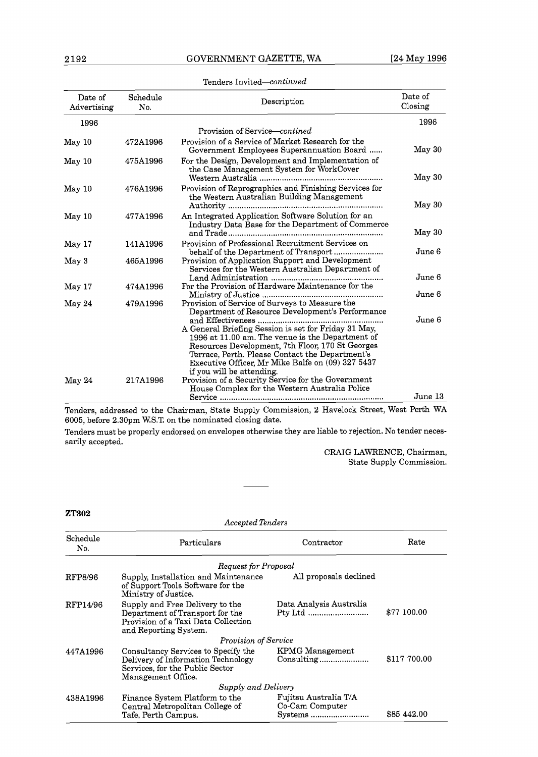| Date of<br>Advertising | Schedule<br>No. | Description                                                                                             | Date of<br>Closing |
|------------------------|-----------------|---------------------------------------------------------------------------------------------------------|--------------------|
| 1996                   |                 |                                                                                                         | 1996               |
|                        |                 | Provision of Service—contined                                                                           |                    |
| May 10                 | 472A1996        | Provision of a Service of Market Research for the<br>Government Employees Superannuation Board          | May 30             |
| May 10                 | 475A1996        | For the Design, Development and Implementation of<br>the Case Management System for WorkCover           |                    |
|                        |                 |                                                                                                         | May 30             |
| May 10                 | 476A1996        | Provision of Reprographics and Finishing Services for<br>the Western Australian Building Management     | May 30             |
|                        |                 |                                                                                                         |                    |
| May 10                 | 477A1996        | An Integrated Application Software Solution for an<br>Industry Data Base for the Department of Commerce | May 30             |
| May 17                 | 141A1996        | Provision of Professional Recruitment Services on<br>behalf of the Department of Transport              | June 6             |
| May 3                  | 465A1996        | Provision of Application Support and Development<br>Services for the Western Australian Department of   |                    |
|                        |                 |                                                                                                         | June 6             |
| May 17                 | 474A1996        | For the Provision of Hardware Maintenance for the                                                       | June 6             |
| May 24                 | 479A1996        | Provision of Service of Surveys to Measure the<br>Department of Resource Development's Performance      |                    |
|                        |                 |                                                                                                         | June 6             |
|                        |                 | A General Briefing Session is set for Friday 31 May,                                                    |                    |
|                        |                 | 1996 at 11.00 am. The venue is the Department of                                                        |                    |
|                        |                 | Resources Development, 7th Floor, 170 St Georges                                                        |                    |
|                        |                 | Terrace, Perth. Please Contact the Department's                                                         |                    |
|                        |                 | Executive Officer, Mr Mike Balfe on (09) 327 5437                                                       |                    |
|                        |                 | if you will be attending.                                                                               |                    |
| May 24                 | 217A1996        | Provision of a Security Service for the Government                                                      |                    |
|                        |                 | House Complex for the Western Australia Police                                                          | June 13            |
|                        |                 | Tenders, addressed to the Chairman, State Supply Commission, 2 Havelock Street, West Perth WA           |                    |

#### Tenders Invited--continued

6005, before 2.30pm W.S.T. on the nominated closing date.

Tenders must be properly endorsed on envelopes otherwise they are liable to rejection. No tender necessarily accepted.

Accepted Tenders

CRAIG LAWRENCE, Chairman, State Supply Commission.

#### **ZT302**

| Schedule<br>No. | Particulars                                                                                                                        | Contractor                                          | Rate         |
|-----------------|------------------------------------------------------------------------------------------------------------------------------------|-----------------------------------------------------|--------------|
|                 | Request for Proposal                                                                                                               |                                                     |              |
| RFP8/96         | Supply, Installation and Maintenance<br>of Support Tools Software for the<br>Ministry of Justice.                                  | All proposals declined                              |              |
| RFP14/96        | Supply and Free Delivery to the<br>Department of Transport for the<br>Provision of a Taxi Data Collection<br>and Reporting System. | Data Analysis Australia<br>Pty Ltd                  | \$77 100.00  |
|                 | Provision of Service                                                                                                               |                                                     |              |
| 447A1996        | Consultancy Services to Specify the<br>Delivery of Information Technology<br>Services, for the Public Sector<br>Management Office. | <b>KPMG</b> Management<br>Consulting                | \$117 700.00 |
|                 | Supply and Delivery                                                                                                                |                                                     |              |
| 438A1996        | Finance System Platform to the<br>Central Metropolitan College of<br>Tafe, Perth Campus.                                           | Fujitsu Australia T/A<br>Co-Cam Computer<br>Systems | \$85 442.00  |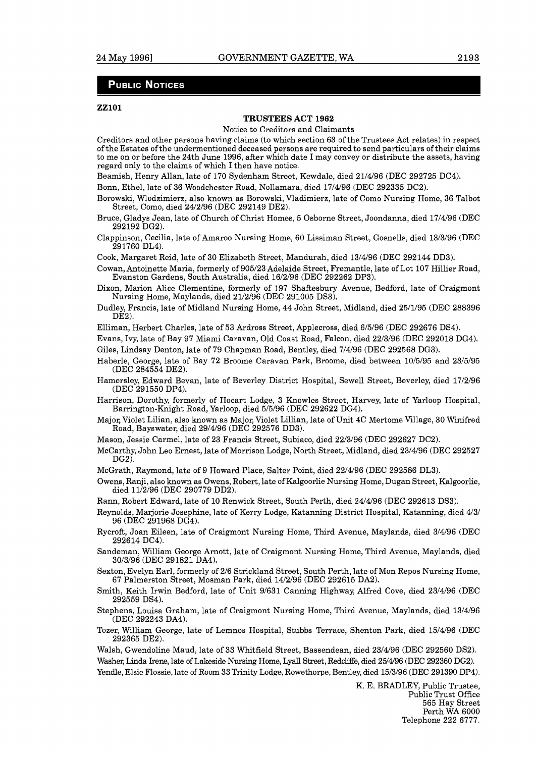#### **PUBLIC NOTICES**

#### **ZZlOl**

#### **TRUSTEES ACT 1962**

Notice to Creditors and Claimants

Creditors and other persons having claims (to which section 63 of the Trustees Act relates) in respect of the Estates of the undermentioned deceased persons are required to send particulars of their claims to me on or before the 24th June 1996, after which date I may convey or distribute the assets, having regard only to the claims of which I then have notice.

Beamish, Henry Allan, late of 170 Sydenham Street, Kewdale, died 21/4/96 (DEC 292725 DC4).

Bonn, Ethel, late of 36 Woodchester Road, Nollamara, died 17/4/96 (DEC 292335 DC2).

- Borowski, Wlodzimierz, also known as Borowski, Vladimierz, late of Como Nursing Home, 36 Talbot Street, Como, died 24/2/96 (DEC 292149 DE2).
- Bruce, Gladys Jean, late of Church of Christ Homes, 5 Osborne Street, Joondanna, died 17/4/96 (DEC 292192 DG2).
- Clappinson, Cecilia, late of Amaroo Nursing Home, 60 Lissiman Street, Gosnells, died 13/3/96 (DEC 291760 DL4).

Cook, Margaret Reid, late of 30 Elizabeth Street, Mandurah, died 13/4/96 (DEC 292144 DD3).

- Cowan, Antoinette Maria, formerly of 905/23 Adelaide Street, Fremantle, late of Lot 107 Hillier Road, Evanston Gardens, South Australia, died 16/2/96 (DEC 292262 DP3).
- Dixon, Marion Alice Clementine, formerly of 197 Shaftesbury Avenue, Bedford, late of Craigmont Nursing Home, Maylands, died 21/2/96 (DEC 291005 DS3).
- Dudley, Francis, late of Midland Nursing Home, 44 John Street, Midland, died 25/1/95 (DEC 288396 DE2).

Elliman, Herbert Charles, late of 53 Ardross Street, Applecross, died 6/5/96 (DEC 292676 DS4).

Evans, Ivy, late of Bay 97 Miami Caravan, Old Coast Road, Falcon, died 22/3/96 (DEC 292018 DG4).

Giles, Lindsay Denton, late of 79 Chapman Road, Bentley, died 7/4/96 (DEC 292568 DG3).

Haberle, George, late of Bay 72 Broome Caravan Park, Broome, died between 10/5/95 and 23/5/95 (DEC 284554 DE2).

Hamersley, Edward Bevan, late of Beverley District Hospital, Sewell Street, Beverley, died 17/2/96 (DEC 291550 DP4).

- Harrison, Dorothy, formerly of Hocart Lodge, 3 Knowles Street, Harvey, late of Yarloop Hospital, Barrington-Knight Road, Yarloop, died 5/5/96 (DEC 292622 DG4).
- Major, Violet Lilian, also known as Major, Violet Lillian, late of Unit 4C Mertome Village, 30 Winifred Road, Bayswater, died 29/4/96 (DEC 292576 DD3).
- Mason, Jessie Carmel, late of 23 Francis Street, Subiaco, died 22/3/96 (DEC 292627 DC2).
- McCarthy, John Leo Ernest, late of Morrison Lodge, North Street, Midland, died 23/4/96 (DEC 292527 DG2).

McGrath, Raymond, late of 9 Howard Place, Salter Point, died 22/4/96 (DEC 292586 DL3).

Owens, Ranji, also known as Owens, Robert, late of Kalgoorlie Nursing Home, Dugan Street, Kalgoorlie, died 11/2/96 (DEC 290779 DD2).

Rann, Robert Edward, late of 10 Renwick Street, South Perth, died 24/4/96 (DEC 292613 DS3).

Reynolds, Marjorie Josephine, late of Kerry Lodge, Katanning District Hospital, Katanning, died 4/31 96 (DEC 291968 DG4).

- Rycroft, Joan Eileen, late of Craigmont Nursing Home, Third Avenue, Maylands, died 3/4/96 (DEC 292614 DC4).
- Sandeman, William George Arnott, late of Craigmont Nursing Home, Third Avenue, Maylands, died 3013196 (DEC 291821 DA4).

Sexton, Evelyn Earl, formerly of 216 Strickland Street, South Perth, late of Mon Repos Nursing Home, 67 Palmerston Street, Mosman Park, died 14/2/96 (DEC 292615 DA2).

- Smith, Keith Irwin Bedford, late of Unit 91631 Canning Highway, Alfred Cove, died 23/4/96 (DEC 292559 DS4).
- Stephens, Louisa Graham, late of Craigmont Nursing Home, Third Avenue, Maylands, died 13/4/96 (DEC 292243 DA4).
- Tozer, William George, late of Lemnos Hospital, Stubbs Terrace, Shenton Park, died 15/4/96 (DEC 292365 DE2).

Walsh, Gwendoline Maud, late of 33 Whitfield Street, Bassendean, died 23/4/96 (DEC 292560 DS2). Washer, Linda Irene, late of Lakeside Nursing Home, Lyall Street, Redcliffe, died 25/4/96 (DEC 292360 DG2). Yendle, Elsie Flossie, late of Room 33 Trinity Lodge, Rowethorpe, Bentley, died 15/3/96 (DEC 291390 DP4).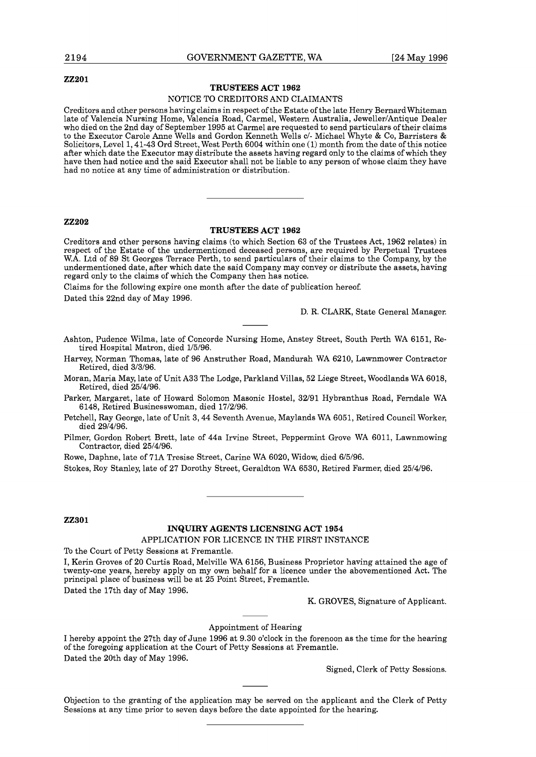#### **22201**

#### **TRUSTEES ACT 1962**

#### NOTICE TO CREDITORS AND CLAIMANTS

Creditors and other persons having claims in respect of the Estate of the late Henry BernardWhiteman late of Valencia Nursing Home, Valencia Road, Carmel, Western Australia, Jeweller/Antique Dealer who died on the 2nd day of September 1995 at Carmel are requested to send particulars of their claims to the Executor Carole Anne Wells and Gordon Kenneth Wells c/- Michael Whyte & CO, Barristers & Solicitors, Level 1,41-43 Ord Street, West Perth 6004 within one (1) month from the date of this notice after which date the Executor may distribute the assets having regard only to the claims of which they have then had notice and the said Executor shall not be liable to any person of whose claim they have had no notice at any time of administration or distribution.

#### **22202**

#### **TRUSTEES ACT 1962**

Creditors and other persons having claims (to which Section 63 of the Trustees Act, 1962 relates) in respect of the Estate of the undermentioned deceased persons, are required by Perpetual Trustees W.A. Ltd of 89 St Georges Terrace Perth, to send particulars of their claims to the Company, by the undermentioned date, after which date the said Company may convey or distribute the assets, having regard only to the claims of which the Company then has notice.

Claims for the following expire one month after the date of publication hereof.

Dated this 22nd day of May 1996.

D. R. CLARK, State General Manager.

Ashton, Pudence Wilma, late of Concorde Nursing Home, Anstey Street, South Perth WA 6151, Retired Hospital Matron, died 1/5/96.

Harvey, Norman Thomas, late of 96 Anstruther Road, Mandurah WA 6210, Lawnmower Contractor Retired, died 3/3/96.

Moran, Maria May, late of Unit A33 The Lodge, Parkland Villas, 52 Liege Street, Woodlands WA 6018, Retired, died 25/4/96.

Parker, Margaret, late of Howard Solomon Masonic Hostel, 32/91 Hybranthus Road, Ferndale WA 6148, Retired Businesswoman, died 17/2/96.

Petchell, Ray George, late of Unit 3,44 Seventh Avenue, Maylands WA 6051, Retired Council Worker, died 29/4/96.

Pilmer, Gordon Robert Brett, late of 44a Irvine Street, Peppermint Grove WA 6011, Lawnmowing Contractor, died 25/4/96.

Rowe, Daphne, late of 71A Tresise Street, Carine WA 6020, Widow, died 6/5/96.

Stokes, Roy Stanley, late of 27 Dorothy Street, Geraldton WA 6530, Retired Farmer, died 25/4/96.

#### **22301**

#### **INQUIRY AGENTS LICENSING ACT 1954**

APPLICATION FOR LICENCE IN THE FIRST INSTANCE

To the Court of Petty Sessions at Fremantle.

I, Kerin Groves of 20 Curtis Road, Melville WA 6156, Business Proprietor having attained the age of twenty-one years, hereby apply on my own behalf for a licence under the abovementioned Act. The principal place of business will be at 25 Point Street, Fremantle. Dated the 17th day of May 1996.

K. GROVES, Signature of Applicant.

#### Appointment of Hearing

I hereby appoint the 27th day of June 1996 at 9.30 o'clock in the forenoon as the time for the hearing of the foregoing application at the Court of Petty Sessions at Fremantle. Dated the 20th day of May 1996.

Signed, Clerk of Petty Sessions.

Objection to the granting of the application may be served on the applicant and the Clerk of Petty Sessions at any time prior to seven days before the date appointed for the hearing.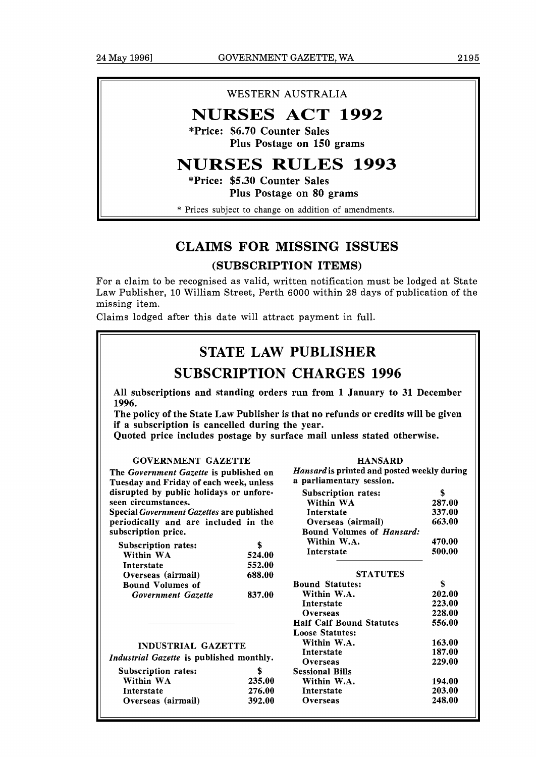## WESTERN AUSTRALIA

# **NURSES ACT 1992**

**\*Price: \$6.70 Counter Sales Plus Postage on 150 grams** 

# **NURSES RULES 1993**

**\*Price: \$5.30 Counter Sales Plus Postage on 80 grams** 

\* Prices subject to change on addition of amendments.

# CLAIMS FOR MISSING ISSUES

## (SUBSCRIPTION ITEMS)

For a claim to be recognised as valid, written notification must be lodged at State Law Publisher, 10 William Street, Perth 6000 within 28 days of publication of the missing item.

Claims lodged after this date will attract payment in full.

# STATE LAW PUBLISHER

# SUBSCRIPTION CHARGES 1996

All subscriptions and standing orders run from 1 January to **31** December **1996.** 

The policy of the State Law Publisher is that no refunds or credits will be given if a subscription is cancelled during the year.

Quoted price includes postage by surface mail unless stated otherwise.

#### GOVERNMENT GAZETTE

The *Government Gazette* is published on Tuesday and Friday of each week, unless disrupted by public holidays or unforeseen circumstances.

Special *Government Gazettes* are published periodically and are included in the subscription price.

| <b>Subscription rates:</b> |        |
|----------------------------|--------|
| Within WA                  | 524.00 |
| Interstate                 | 552.00 |
| Overseas (airmail)         | 688.00 |
| <b>Bound Volumes of</b>    |        |
| Government Gazette         | 837.00 |

| Hansard is printed and posted weekly during<br>a parliamentary session. |        |
|-------------------------------------------------------------------------|--------|
| Subscription rates:                                                     | \$     |
| Within WA                                                               | 287.00 |
| Interstate                                                              | 337.00 |
| Overseas (airmail)                                                      | 663.00 |
| <b>Bound Volumes of Hansard:</b>                                        |        |
| Within W.A.                                                             | 470.00 |
| Interstate                                                              | 500.00 |
| <b>STATUTES</b>                                                         |        |
| <b>Bound Statutes:</b>                                                  | \$     |
| Within W.A.                                                             | 202.00 |
| Interstate                                                              | 223.00 |
| Overseas                                                                | 228.00 |
| <b>Half Calf Bound Statutes</b>                                         | 556.00 |
| <b>Loose Statutes:</b>                                                  |        |
| Within W.A.                                                             | 163.00 |
| Interstate                                                              | 187.00 |
| Overseas                                                                | 229.00 |
| <b>Sessional Bills</b>                                                  |        |
| Within W.A.                                                             | 194.00 |
| Interstate                                                              | 203.00 |
| Overseas                                                                | 248.00 |

INDUSTRIAL GAZETTE

| Industrial Gazette is published monthly. |        |
|------------------------------------------|--------|
| Subscription rates:                      |        |
| Within WA                                | 235.00 |
| Interstate                               | 276.00 |

Overseas (airmail) **392.00**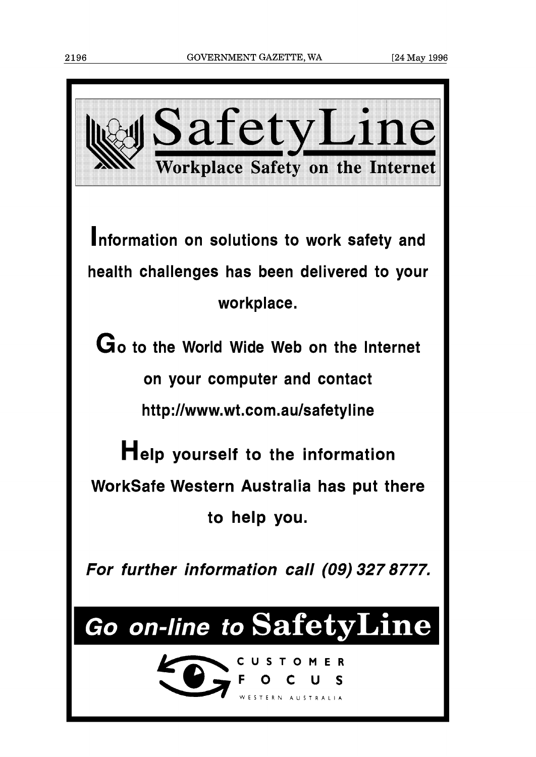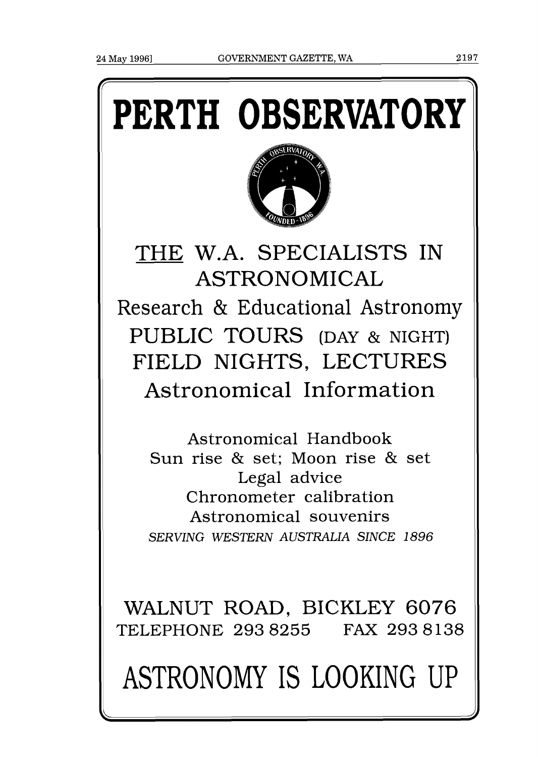# **PERTH OBSERVATORY**



THE W.A. SPECIALISTS IN ASTRONOMICAL Research & Educational Astronomy PUBLIC TOURS (DAY & NIGHT) FIELD NIGHTS, LECTURES Astronomical Information

Astronomical Handbook Sun rise & set; Moon rise & set Legal advice Chronometer calibration Astronomical souvenirs *SERVING WESTERN AUSTRALIA SINCE l896* 

WALNUT ROAD, BICKLEY 6076 TELEPHONE 293 8255 FAX 2938138

ASTRONOMY IS LOOKING UP

**4 7**